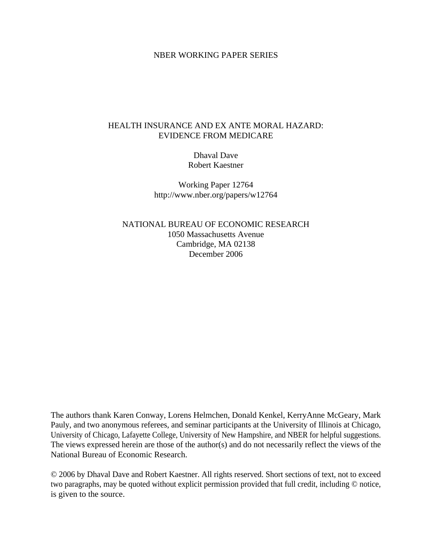## NBER WORKING PAPER SERIES

# HEALTH INSURANCE AND EX ANTE MORAL HAZARD: EVIDENCE FROM MEDICARE

Dhaval Dave Robert Kaestner

Working Paper 12764 http://www.nber.org/papers/w12764

NATIONAL BUREAU OF ECONOMIC RESEARCH 1050 Massachusetts Avenue Cambridge, MA 02138 December 2006

The authors thank Karen Conway, Lorens Helmchen, Donald Kenkel, KerryAnne McGeary, Mark Pauly, and two anonymous referees, and seminar participants at the University of Illinois at Chicago, University of Chicago, Lafayette College, University of New Hampshire, and NBER for helpful suggestions. The views expressed herein are those of the author(s) and do not necessarily reflect the views of the National Bureau of Economic Research.

© 2006 by Dhaval Dave and Robert Kaestner. All rights reserved. Short sections of text, not to exceed two paragraphs, may be quoted without explicit permission provided that full credit, including © notice, is given to the source.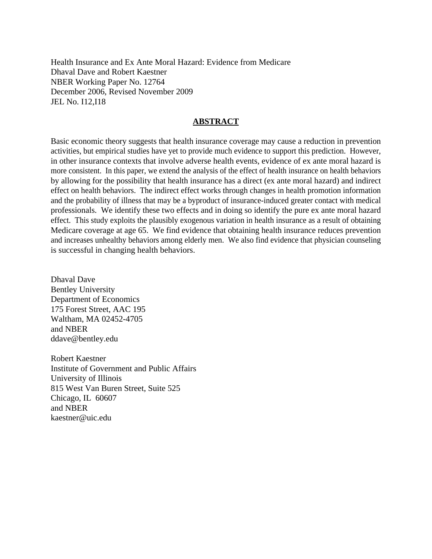Health Insurance and Ex Ante Moral Hazard: Evidence from Medicare Dhaval Dave and Robert Kaestner NBER Working Paper No. 12764 December 2006, Revised November 2009 JEL No. I12,I18

# **ABSTRACT**

Basic economic theory suggests that health insurance coverage may cause a reduction in prevention activities, but empirical studies have yet to provide much evidence to support this prediction. However, in other insurance contexts that involve adverse health events, evidence of ex ante moral hazard is more consistent. In this paper, we extend the analysis of the effect of health insurance on health behaviors by allowing for the possibility that health insurance has a direct (ex ante moral hazard) and indirect effect on health behaviors. The indirect effect works through changes in health promotion information and the probability of illness that may be a byproduct of insurance-induced greater contact with medical professionals. We identify these two effects and in doing so identify the pure ex ante moral hazard effect. This study exploits the plausibly exogenous variation in health insurance as a result of obtaining Medicare coverage at age 65. We find evidence that obtaining health insurance reduces prevention and increases unhealthy behaviors among elderly men. We also find evidence that physician counseling is successful in changing health behaviors.

Dhaval Dave Bentley University Department of Economics 175 Forest Street, AAC 195 Waltham, MA 02452-4705 and NBER ddave@bentley.edu

Robert Kaestner Institute of Government and Public Affairs University of Illinois 815 West Van Buren Street, Suite 525 Chicago, IL 60607 and NBER kaestner@uic.edu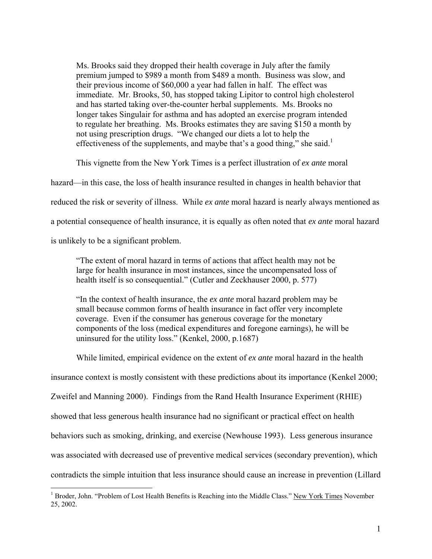Ms. Brooks said they dropped their health coverage in July after the family premium jumped to \$989 a month from \$489 a month. Business was slow, and their previous income of \$60,000 a year had fallen in half. The effect was immediate. Mr. Brooks, 50, has stopped taking Lipitor to control high cholesterol and has started taking over-the-counter herbal supplements. Ms. Brooks no longer takes Singulair for asthma and has adopted an exercise program intended to regulate her breathing. Ms. Brooks estimates they are saving \$150 a month by not using prescription drugs. "We changed our diets a lot to help the effectiveness of the supplements, and maybe that's a good thing," she said.<sup>1</sup>

This vignette from the New York Times is a perfect illustration of *ex ante* moral

hazard—in this case, the loss of health insurance resulted in changes in health behavior that

reduced the risk or severity of illness. While *ex ante* moral hazard is nearly always mentioned as

a potential consequence of health insurance, it is equally as often noted that *ex ante* moral hazard

is unlikely to be a significant problem.

1

"The extent of moral hazard in terms of actions that affect health may not be large for health insurance in most instances, since the uncompensated loss of health itself is so consequential." (Cutler and Zeckhauser 2000, p. 577)

"In the context of health insurance, the *ex ante* moral hazard problem may be small because common forms of health insurance in fact offer very incomplete coverage. Even if the consumer has generous coverage for the monetary components of the loss (medical expenditures and foregone earnings), he will be uninsured for the utility loss." (Kenkel, 2000, p.1687)

While limited, empirical evidence on the extent of *ex ante* moral hazard in the health

insurance context is mostly consistent with these predictions about its importance (Kenkel 2000;

Zweifel and Manning 2000). Findings from the Rand Health Insurance Experiment (RHIE)

showed that less generous health insurance had no significant or practical effect on health

behaviors such as smoking, drinking, and exercise (Newhouse 1993). Less generous insurance

was associated with decreased use of preventive medical services (secondary prevention), which

contradicts the simple intuition that less insurance should cause an increase in prevention (Lillard

<sup>&</sup>lt;sup>1</sup> Broder, John. "Problem of Lost Health Benefits is Reaching into the Middle Class." New York Times November 25, 2002.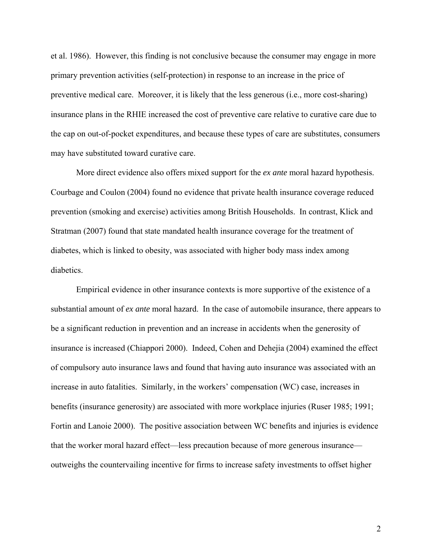et al. 1986). However, this finding is not conclusive because the consumer may engage in more primary prevention activities (self-protection) in response to an increase in the price of preventive medical care. Moreover, it is likely that the less generous (i.e., more cost-sharing) insurance plans in the RHIE increased the cost of preventive care relative to curative care due to the cap on out-of-pocket expenditures, and because these types of care are substitutes, consumers may have substituted toward curative care.

More direct evidence also offers mixed support for the *ex ante* moral hazard hypothesis. Courbage and Coulon (2004) found no evidence that private health insurance coverage reduced prevention (smoking and exercise) activities among British Households. In contrast, Klick and Stratman (2007) found that state mandated health insurance coverage for the treatment of diabetes, which is linked to obesity, was associated with higher body mass index among diabetics.

Empirical evidence in other insurance contexts is more supportive of the existence of a substantial amount of *ex ante* moral hazard. In the case of automobile insurance, there appears to be a significant reduction in prevention and an increase in accidents when the generosity of insurance is increased (Chiappori 2000). Indeed, Cohen and Dehejia (2004) examined the effect of compulsory auto insurance laws and found that having auto insurance was associated with an increase in auto fatalities. Similarly, in the workers' compensation (WC) case, increases in benefits (insurance generosity) are associated with more workplace injuries (Ruser 1985; 1991; Fortin and Lanoie 2000). The positive association between WC benefits and injuries is evidence that the worker moral hazard effect—less precaution because of more generous insurance outweighs the countervailing incentive for firms to increase safety investments to offset higher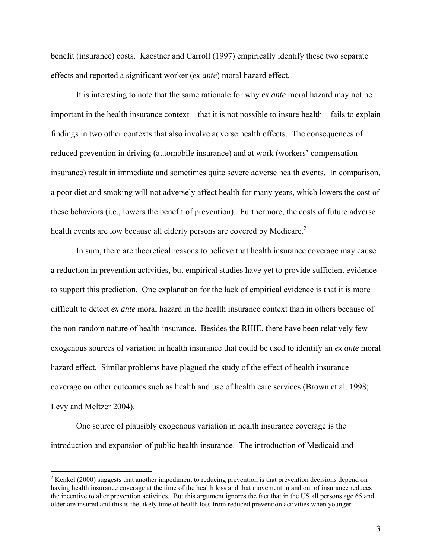benefit (insurance) costs. Kaestner and Carroll (1997) empirically identify these two separate effects and reported a significant worker (*ex ante*) moral hazard effect.

 It is interesting to note that the same rationale for why *ex ante* moral hazard may not be important in the health insurance context—that it is not possible to insure health—fails to explain findings in two other contexts that also involve adverse health effects. The consequences of reduced prevention in driving (automobile insurance) and at work (workers' compensation insurance) result in immediate and sometimes quite severe adverse health events. In comparison, a poor diet and smoking will not adversely affect health for many years, which lowers the cost of these behaviors (i.e., lowers the benefit of prevention). Furthermore, the costs of future adverse health events are low because all elderly persons are covered by Medicare.<sup>2</sup>

 In sum, there are theoretical reasons to believe that health insurance coverage may cause a reduction in prevention activities, but empirical studies have yet to provide sufficient evidence to support this prediction. One explanation for the lack of empirical evidence is that it is more difficult to detect *ex ante* moral hazard in the health insurance context than in others because of the non-random nature of health insurance. Besides the RHIE, there have been relatively few exogenous sources of variation in health insurance that could be used to identify an *ex ante* moral hazard effect. Similar problems have plagued the study of the effect of health insurance coverage on other outcomes such as health and use of health care services (Brown et al. 1998; Levy and Meltzer 2004).

One source of plausibly exogenous variation in health insurance coverage is the introduction and expansion of public health insurance. The introduction of Medicaid and

<sup>&</sup>lt;sup>2</sup> Kenkel (2000) suggests that another impediment to reducing prevention is that prevention decisions depend on having health insurance coverage at the time of the health loss and that movement in and out of insurance reduces the incentive to alter prevention activities. But this argument ignores the fact that in the US all persons age 65 and older are insured and this is the likely time of health loss from reduced prevention activities when younger.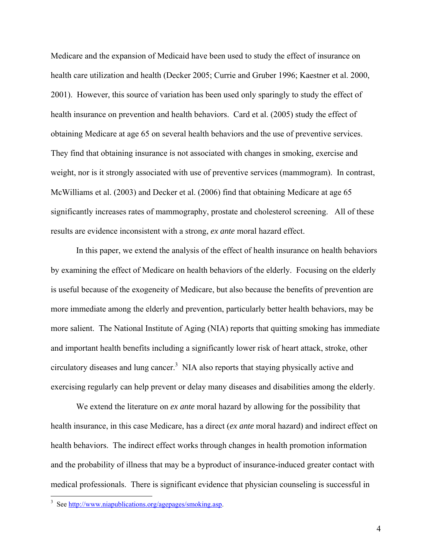Medicare and the expansion of Medicaid have been used to study the effect of insurance on health care utilization and health (Decker 2005; Currie and Gruber 1996; Kaestner et al. 2000, 2001). However, this source of variation has been used only sparingly to study the effect of health insurance on prevention and health behaviors. Card et al. (2005) study the effect of obtaining Medicare at age 65 on several health behaviors and the use of preventive services. They find that obtaining insurance is not associated with changes in smoking, exercise and weight, nor is it strongly associated with use of preventive services (mammogram). In contrast, McWilliams et al. (2003) and Decker et al. (2006) find that obtaining Medicare at age 65 significantly increases rates of mammography, prostate and cholesterol screening. All of these results are evidence inconsistent with a strong, *ex ante* moral hazard effect.

In this paper, we extend the analysis of the effect of health insurance on health behaviors by examining the effect of Medicare on health behaviors of the elderly. Focusing on the elderly is useful because of the exogeneity of Medicare, but also because the benefits of prevention are more immediate among the elderly and prevention, particularly better health behaviors, may be more salient. The National Institute of Aging (NIA) reports that quitting smoking has immediate and important health benefits including a significantly lower risk of heart attack, stroke, other circulatory diseases and lung cancer.<sup>3</sup> NIA also reports that staying physically active and exercising regularly can help prevent or delay many diseases and disabilities among the elderly.

We extend the literature on *ex ante* moral hazard by allowing for the possibility that health insurance, in this case Medicare, has a direct (*ex ante* moral hazard) and indirect effect on health behaviors. The indirect effect works through changes in health promotion information and the probability of illness that may be a byproduct of insurance-induced greater contact with medical professionals. There is significant evidence that physician counseling is successful in

<sup>&</sup>lt;sup>3</sup> See http://www.niapublications.org/agepages/smoking.asp.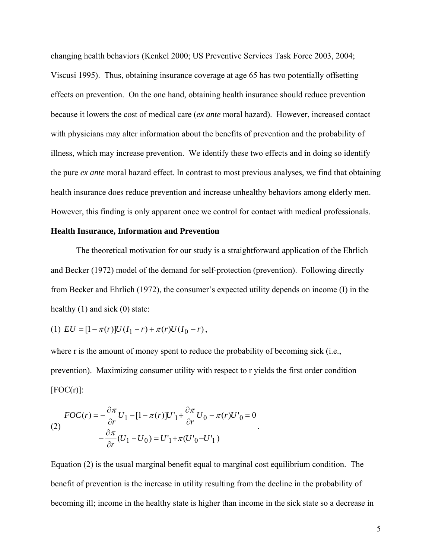changing health behaviors (Kenkel 2000; US Preventive Services Task Force 2003, 2004; Viscusi 1995). Thus, obtaining insurance coverage at age 65 has two potentially offsetting effects on prevention. On the one hand, obtaining health insurance should reduce prevention because it lowers the cost of medical care (*ex ante* moral hazard). However, increased contact with physicians may alter information about the benefits of prevention and the probability of illness, which may increase prevention. We identify these two effects and in doing so identify the pure *ex ante* moral hazard effect. In contrast to most previous analyses, we find that obtaining health insurance does reduce prevention and increase unhealthy behaviors among elderly men. However, this finding is only apparent once we control for contact with medical professionals.

### **Health Insurance, Information and Prevention**

 The theoretical motivation for our study is a straightforward application of the Ehrlich and Becker (1972) model of the demand for self-protection (prevention). Following directly from Becker and Ehrlich (1972), the consumer's expected utility depends on income (I) in the healthy (1) and sick (0) state:

(1) 
$$
EU = [1 - \pi(r)]U(I_1 - r) + \pi(r)U(I_0 - r),
$$

where r is the amount of money spent to reduce the probability of becoming sick (i.e., prevention). Maximizing consumer utility with respect to r yields the first order condition  $[FOC(r)]$ :

(2)  
\n
$$
FOC(r) = -\frac{\partial \pi}{\partial r} U_1 - [1 - \pi(r)]U'_1 + \frac{\partial \pi}{\partial r} U_0 - \pi(r)U'_0 = 0
$$
\n
$$
-\frac{\partial \pi}{\partial r}(U_1 - U_0) = U'_1 + \pi(U'_0 - U'_1)
$$

Equation (2) is the usual marginal benefit equal to marginal cost equilibrium condition. The benefit of prevention is the increase in utility resulting from the decline in the probability of becoming ill; income in the healthy state is higher than income in the sick state so a decrease in

.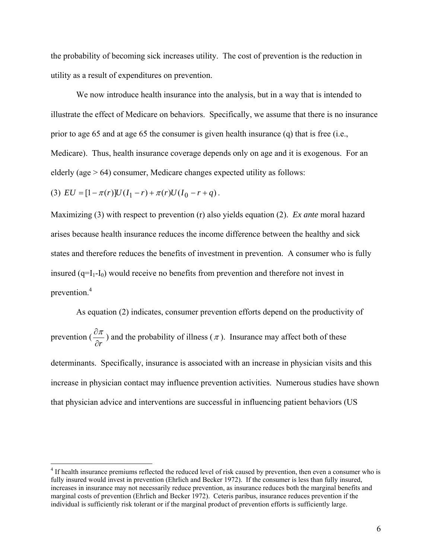the probability of becoming sick increases utility. The cost of prevention is the reduction in utility as a result of expenditures on prevention.

We now introduce health insurance into the analysis, but in a way that is intended to illustrate the effect of Medicare on behaviors. Specifically, we assume that there is no insurance prior to age 65 and at age 65 the consumer is given health insurance (q) that is free (i.e., Medicare). Thus, health insurance coverage depends only on age and it is exogenous. For an elderly (age  $> 64$ ) consumer, Medicare changes expected utility as follows:

(3)  $EU = [1 - \pi(r)]U(I_1 - r) + \pi(r)U(I_0 - r + q)$ .

1

Maximizing (3) with respect to prevention (r) also yields equation (2). *Ex ante* moral hazard arises because health insurance reduces the income difference between the healthy and sick states and therefore reduces the benefits of investment in prevention. A consumer who is fully insured  $(q=I_1-I_0)$  would receive no benefits from prevention and therefore not invest in prevention.<sup>4</sup>

 As equation (2) indicates, consumer prevention efforts depend on the productivity of prevention ( $\frac{\partial \pi}{\partial r}$ ) and the probability of illness ( $\pi$ ). Insurance may affect both of these determinants. Specifically, insurance is associated with an increase in physician visits and this increase in physician contact may influence prevention activities. Numerous studies have shown that physician advice and interventions are successful in influencing patient behaviors (US

<sup>&</sup>lt;sup>4</sup> If health insurance premiums reflected the reduced level of risk caused by prevention, then even a consumer who is fully insured would invest in prevention (Ehrlich and Becker 1972). If the consumer is less than fully insured, increases in insurance may not necessarily reduce prevention, as insurance reduces both the marginal benefits and marginal costs of prevention (Ehrlich and Becker 1972). Ceteris paribus, insurance reduces prevention if the individual is sufficiently risk tolerant or if the marginal product of prevention efforts is sufficiently large.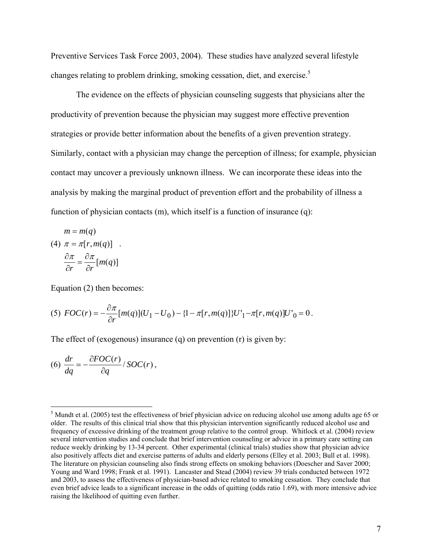Preventive Services Task Force 2003, 2004). These studies have analyzed several lifestyle changes relating to problem drinking, smoking cessation, diet, and exercise.<sup>5</sup>

The evidence on the effects of physician counseling suggests that physicians alter the productivity of prevention because the physician may suggest more effective prevention strategies or provide better information about the benefits of a given prevention strategy. Similarly, contact with a physician may change the perception of illness; for example, physician contact may uncover a previously unknown illness. We can incorporate these ideas into the analysis by making the marginal product of prevention effort and the probability of illness a function of physician contacts (m), which itself is a function of insurance (q):

$$
m = m(q)
$$
  
(4)  $\pi = \pi[r, m(q)]$   

$$
\frac{\partial \pi}{\partial r} = \frac{\partial \pi}{\partial r}[m(q)]
$$

Equation (2) then becomes:

(5) 
$$
FOC(r) = -\frac{\partial \pi}{\partial r} [m(q)](U_1 - U_0) - \{1 - \pi[r, m(q)]\}U'_1 - \pi[r, m(q)]U'_0 = 0.
$$

The effect of (exogenous) insurance (q) on prevention (r) is given by:

$$
(6)\ \frac{dr}{dq} = -\frac{\partial FOC(r)}{\partial q} / SOC(r),
$$

 $\overline{a}$ 

 $<sup>5</sup>$  Mundt et al. (2005) test the effectiveness of brief physician advice on reducing alcohol use among adults age 65 or</sup> older. The results of this clinical trial show that this physician intervention significantly reduced alcohol use and frequency of excessive drinking of the treatment group relative to the control group. Whitlock et al. (2004) review several intervention studies and conclude that brief intervention counseling or advice in a primary care setting can reduce weekly drinking by 13-34 percent. Other experimental (clinical trials) studies show that physician advice also positively affects diet and exercise patterns of adults and elderly persons (Elley et al. 2003; Bull et al. 1998). The literature on physician counseling also finds strong effects on smoking behaviors (Doescher and Saver 2000; Young and Ward 1998; Frank et al. 1991). Lancaster and Stead (2004) review 39 trials conducted between 1972 and 2003, to assess the effectiveness of physician-based advice related to smoking cessation. They conclude that even brief advice leads to a significant increase in the odds of quitting (odds ratio 1.69), with more intensive advice raising the likelihood of quitting even further.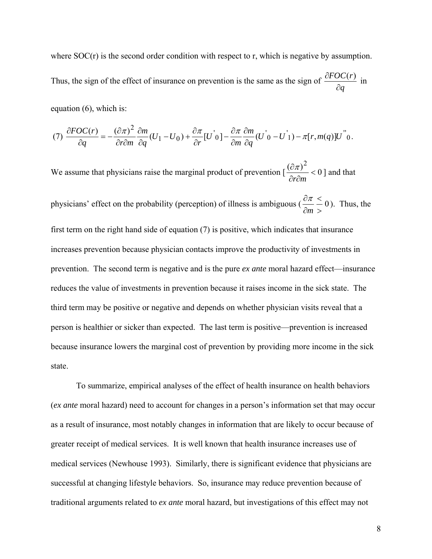where SOC(r) is the second order condition with respect to r, which is negative by assumption. Thus, the sign of the effect of insurance on prevention is the same as the sign of *q FOC r* ∂  $\frac{\partial FOC(r)}{\partial r}$  in

equation (6), which is:

$$
(7)\ \frac{\partial FOC(r)}{\partial q} = -\frac{(\partial \pi)^2}{\partial r \partial m} \frac{\partial m}{\partial q} (U_1 - U_0) + \frac{\partial \pi}{\partial r} [U^{\dagger} 0] - \frac{\partial \pi}{\partial m} \frac{\partial m}{\partial q} (U^{\dagger} 0 - U^{\dagger} 1) - \pi [r, m(q)] U^{\dagger} 0.
$$

We assume that physicians raise the marginal product of prevention  $\left[\frac{(\partial \pi)^2}{\partial x^2}\right] < 0$  $\lt$ ∂r∂ ∂ *r m*  $\frac{\pi}{2}$  < 0 ] and that physicians' effect on the probability (perception) of illness is ambiguous ( $\frac{a}{n} - 0$ >  $\lt$ ∂ ∂ *m*  $\frac{\pi}{\pi}$  (eq. 1). Thus, the first term on the right hand side of equation (7) is positive, which indicates that insurance increases prevention because physician contacts improve the productivity of investments in prevention. The second term is negative and is the pure *ex ante* moral hazard effect—insurance reduces the value of investments in prevention because it raises income in the sick state. The third term may be positive or negative and depends on whether physician visits reveal that a person is healthier or sicker than expected. The last term is positive—prevention is increased because insurance lowers the marginal cost of prevention by providing more income in the sick state.

 To summarize, empirical analyses of the effect of health insurance on health behaviors (*ex ante* moral hazard) need to account for changes in a person's information set that may occur as a result of insurance, most notably changes in information that are likely to occur because of greater receipt of medical services. It is well known that health insurance increases use of medical services (Newhouse 1993). Similarly, there is significant evidence that physicians are successful at changing lifestyle behaviors. So, insurance may reduce prevention because of traditional arguments related to *ex ante* moral hazard, but investigations of this effect may not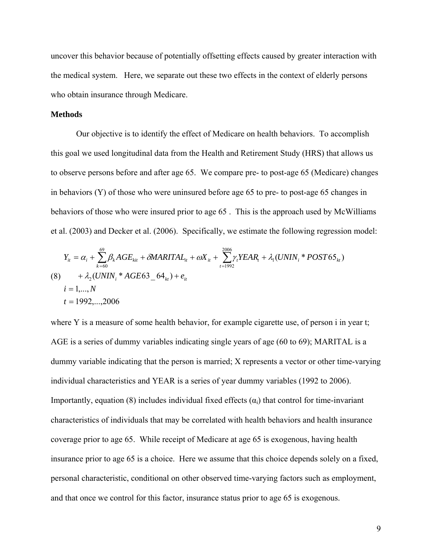uncover this behavior because of potentially offsetting effects caused by greater interaction with the medical system. Here, we separate out these two effects in the context of elderly persons who obtain insurance through Medicare.

### **Methods**

Our objective is to identify the effect of Medicare on health behaviors. To accomplish this goal we used longitudinal data from the Health and Retirement Study (HRS) that allows us to observe persons before and after age 65. We compare pre- to post-age 65 (Medicare) changes in behaviors (Y) of those who were uninsured before age 65 to pre- to post-age 65 changes in behaviors of those who were insured prior to age 65 . This is the approach used by McWilliams et al. (2003) and Decker et al. (2006). Specifically, we estimate the following regression model:

$$
Y_{it} = \alpha_i + \sum_{k=60}^{69} \beta_k AGE_{kit} + \delta MARITAL_{it} + \omega X_{it} + \sum_{t=1992}^{2006} \gamma_t YEAR_t + \lambda_1 (UNIN_i * POST65_{kt})
$$
  
(8) +  $\lambda_2 (UNIN_i * AGE63_64_{kt}) + e_{it}$   
 $i = 1,..., N$   
 $t = 1992,...,2006$ 

where Y is a measure of some health behavior, for example cigarette use, of person i in year t; AGE is a series of dummy variables indicating single years of age (60 to 69); MARITAL is a dummy variable indicating that the person is married; X represents a vector or other time-varying individual characteristics and YEAR is a series of year dummy variables (1992 to 2006). Importantly, equation (8) includes individual fixed effects  $(\alpha_i)$  that control for time-invariant characteristics of individuals that may be correlated with health behaviors and health insurance coverage prior to age 65. While receipt of Medicare at age 65 is exogenous, having health insurance prior to age 65 is a choice. Here we assume that this choice depends solely on a fixed, personal characteristic, conditional on other observed time-varying factors such as employment, and that once we control for this factor, insurance status prior to age 65 is exogenous.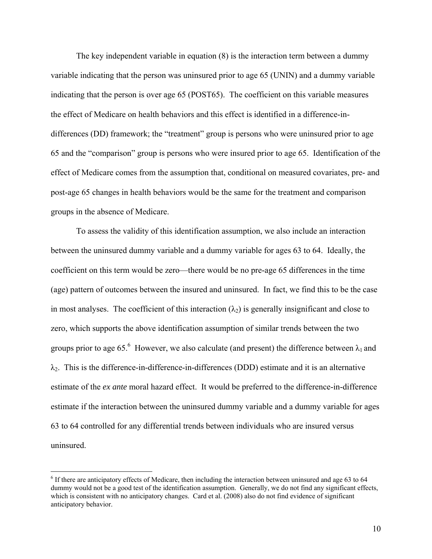The key independent variable in equation (8) is the interaction term between a dummy variable indicating that the person was uninsured prior to age 65 (UNIN) and a dummy variable indicating that the person is over age 65 (POST65). The coefficient on this variable measures the effect of Medicare on health behaviors and this effect is identified in a difference-indifferences (DD) framework; the "treatment" group is persons who were uninsured prior to age 65 and the "comparison" group is persons who were insured prior to age 65. Identification of the effect of Medicare comes from the assumption that, conditional on measured covariates, pre- and post-age 65 changes in health behaviors would be the same for the treatment and comparison groups in the absence of Medicare.

To assess the validity of this identification assumption, we also include an interaction between the uninsured dummy variable and a dummy variable for ages 63 to 64. Ideally, the coefficient on this term would be zero—there would be no pre-age 65 differences in the time (age) pattern of outcomes between the insured and uninsured. In fact, we find this to be the case in most analyses. The coefficient of this interaction  $(\lambda_2)$  is generally insignificant and close to zero, which supports the above identification assumption of similar trends between the two groups prior to age 65.<sup>6</sup> However, we also calculate (and present) the difference between  $\lambda_1$  and  $\lambda_2$ . This is the difference-in-difference-in-differences (DDD) estimate and it is an alternative estimate of the *ex ante* moral hazard effect. It would be preferred to the difference-in-difference estimate if the interaction between the uninsured dummy variable and a dummy variable for ages 63 to 64 controlled for any differential trends between individuals who are insured versus uninsured.

<u>.</u>

<sup>&</sup>lt;sup>6</sup> If there are anticipatory effects of Medicare, then including the interaction between uninsured and age 63 to 64 dummy would not be a good test of the identification assumption. Generally, we do not find any significant effects, which is consistent with no anticipatory changes. Card et al. (2008) also do not find evidence of significant anticipatory behavior.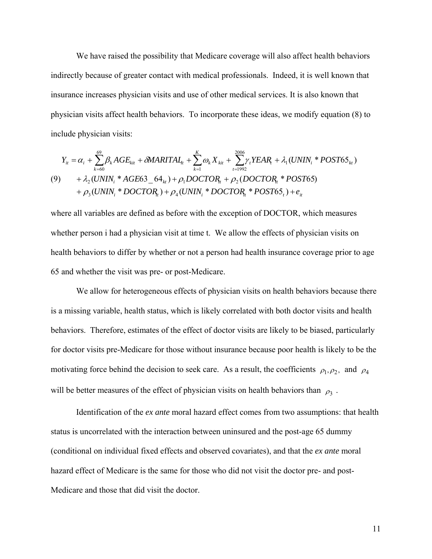We have raised the possibility that Medicare coverage will also affect health behaviors indirectly because of greater contact with medical professionals. Indeed, it is well known that insurance increases physician visits and use of other medical services. It is also known that physician visits affect health behaviors. To incorporate these ideas, we modify equation (8) to include physician visits:

$$
Y_{it} = \alpha_{i} + \sum_{k=60}^{69} \beta_{k}AGE_{kit} + \delta MARKITAL_{t} + \sum_{k=1}^{K} \omega_{k} X_{kit} + \sum_{t=1992}^{2006} \gamma_{t} YEAR_{t} + \lambda_{1}(UNIN_{i} * POST65_{kt})
$$
  
(9) 
$$
+ \lambda_{2}(UNIN_{i} * AGE63_{64_{kt}}) + \rho_{1} DOCTOR_{t} + \rho_{2}(DOCTOR_{t} * POST65) + \rho_{3}(UNIN_{i} * DOCTOR_{t}) + \rho_{4}(UNIN_{i} * DOCTOR_{t} * POST65_{t}) + e_{it}
$$

where all variables are defined as before with the exception of DOCTOR, which measures whether person i had a physician visit at time t. We allow the effects of physician visits on health behaviors to differ by whether or not a person had health insurance coverage prior to age 65 and whether the visit was pre- or post-Medicare.

We allow for heterogeneous effects of physician visits on health behaviors because there is a missing variable, health status, which is likely correlated with both doctor visits and health behaviors. Therefore, estimates of the effect of doctor visits are likely to be biased, particularly for doctor visits pre-Medicare for those without insurance because poor health is likely to be the motivating force behind the decision to seek care. As a result, the coefficients  $\rho_1, \rho_2$ , and  $\rho_4$ will be better measures of the effect of physician visits on health behaviors than  $\rho_3$ .

Identification of the *ex ante* moral hazard effect comes from two assumptions: that health status is uncorrelated with the interaction between uninsured and the post-age 65 dummy (conditional on individual fixed effects and observed covariates), and that the *ex ante* moral hazard effect of Medicare is the same for those who did not visit the doctor pre- and post-Medicare and those that did visit the doctor.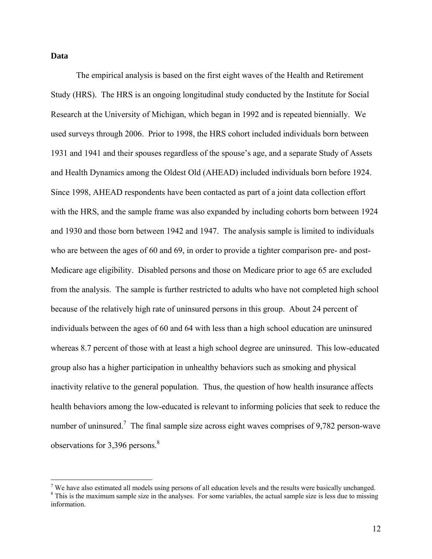### **Data**

The empirical analysis is based on the first eight waves of the Health and Retirement Study (HRS). The HRS is an ongoing longitudinal study conducted by the Institute for Social Research at the University of Michigan, which began in 1992 and is repeated biennially. We used surveys through 2006. Prior to 1998, the HRS cohort included individuals born between 1931 and 1941 and their spouses regardless of the spouse's age, and a separate Study of Assets and Health Dynamics among the Oldest Old (AHEAD) included individuals born before 1924. Since 1998, AHEAD respondents have been contacted as part of a joint data collection effort with the HRS, and the sample frame was also expanded by including cohorts born between 1924 and 1930 and those born between 1942 and 1947. The analysis sample is limited to individuals who are between the ages of 60 and 69, in order to provide a tighter comparison pre- and post-Medicare age eligibility. Disabled persons and those on Medicare prior to age 65 are excluded from the analysis. The sample is further restricted to adults who have not completed high school because of the relatively high rate of uninsured persons in this group. About 24 percent of individuals between the ages of 60 and 64 with less than a high school education are uninsured whereas 8.7 percent of those with at least a high school degree are uninsured. This low-educated group also has a higher participation in unhealthy behaviors such as smoking and physical inactivity relative to the general population. Thus, the question of how health insurance affects health behaviors among the low-educated is relevant to informing policies that seek to reduce the number of uninsured.<sup>7</sup> The final sample size across eight waves comprises of 9,782 person-wave observations for 3,396 persons.<sup>8</sup>

 $\overline{a}$ 

We have also estimated all models using persons of all education levels and the results were basically unchanged.<br><sup>8</sup> This is the movimum sample size in the anglyses. For some veriphles, the estual sample size is less due <sup>8</sup> This is the maximum sample size in the analyses. For some variables, the actual sample size is less due to missing

information.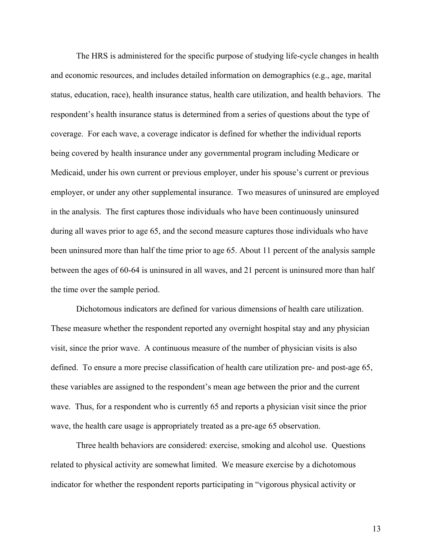The HRS is administered for the specific purpose of studying life-cycle changes in health and economic resources, and includes detailed information on demographics (e.g., age, marital status, education, race), health insurance status, health care utilization, and health behaviors. The respondent's health insurance status is determined from a series of questions about the type of coverage. For each wave, a coverage indicator is defined for whether the individual reports being covered by health insurance under any governmental program including Medicare or Medicaid, under his own current or previous employer, under his spouse's current or previous employer, or under any other supplemental insurance. Two measures of uninsured are employed in the analysis. The first captures those individuals who have been continuously uninsured during all waves prior to age 65, and the second measure captures those individuals who have been uninsured more than half the time prior to age 65. About 11 percent of the analysis sample between the ages of 60-64 is uninsured in all waves, and 21 percent is uninsured more than half the time over the sample period.

 Dichotomous indicators are defined for various dimensions of health care utilization. These measure whether the respondent reported any overnight hospital stay and any physician visit, since the prior wave. A continuous measure of the number of physician visits is also defined. To ensure a more precise classification of health care utilization pre- and post-age 65, these variables are assigned to the respondent's mean age between the prior and the current wave. Thus, for a respondent who is currently 65 and reports a physician visit since the prior wave, the health care usage is appropriately treated as a pre-age 65 observation.

Three health behaviors are considered: exercise, smoking and alcohol use. Questions related to physical activity are somewhat limited. We measure exercise by a dichotomous indicator for whether the respondent reports participating in "vigorous physical activity or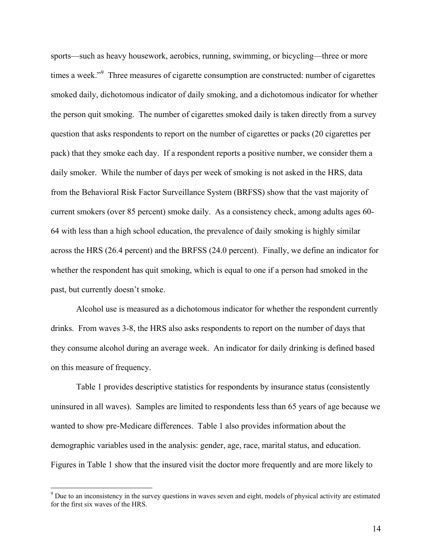sports—such as heavy housework, aerobics, running, swimming, or bicycling—three or more times a week."<sup>9</sup> Three measures of cigarette consumption are constructed: number of cigarettes smoked daily, dichotomous indicator of daily smoking, and a dichotomous indicator for whether the person quit smoking. The number of cigarettes smoked daily is taken directly from a survey question that asks respondents to report on the number of cigarettes or packs (20 cigarettes per pack) that they smoke each day. If a respondent reports a positive number, we consider them a daily smoker. While the number of days per week of smoking is not asked in the HRS, data from the Behavioral Risk Factor Surveillance System (BRFSS) show that the vast majority of current smokers (over 85 percent) smoke daily. As a consistency check, among adults ages 60- 64 with less than a high school education, the prevalence of daily smoking is highly similar across the HRS (26.4 percent) and the BRFSS (24.0 percent). Finally, we define an indicator for whether the respondent has quit smoking, which is equal to one if a person had smoked in the past, but currently doesn't smoke.

Alcohol use is measured as a dichotomous indicator for whether the respondent currently drinks. From waves 3-8, the HRS also asks respondents to report on the number of days that they consume alcohol during an average week. An indicator for daily drinking is defined based on this measure of frequency.

 Table 1 provides descriptive statistics for respondents by insurance status (consistently uninsured in all waves). Samples are limited to respondents less than 65 years of age because we wanted to show pre-Medicare differences. Table 1 also provides information about the demographic variables used in the analysis: gender, age, race, marital status, and education. Figures in Table 1 show that the insured visit the doctor more frequently and are more likely to

<sup>&</sup>lt;sup>9</sup> Due to an inconsistency in the survey questions in waves seven and eight, models of physical activity are estimated for the first six waves of the HRS.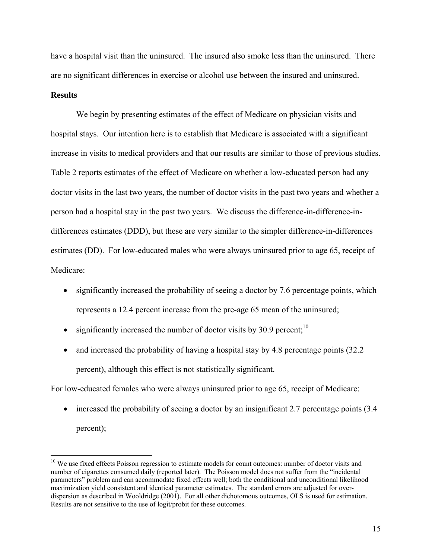have a hospital visit than the uninsured. The insured also smoke less than the uninsured. There are no significant differences in exercise or alcohol use between the insured and uninsured.

# **Results**

1

We begin by presenting estimates of the effect of Medicare on physician visits and hospital stays. Our intention here is to establish that Medicare is associated with a significant increase in visits to medical providers and that our results are similar to those of previous studies. Table 2 reports estimates of the effect of Medicare on whether a low-educated person had any doctor visits in the last two years, the number of doctor visits in the past two years and whether a person had a hospital stay in the past two years. We discuss the difference-in-difference-indifferences estimates (DDD), but these are very similar to the simpler difference-in-differences estimates (DD). For low-educated males who were always uninsured prior to age 65, receipt of Medicare:

- significantly increased the probability of seeing a doctor by 7.6 percentage points, which represents a 12.4 percent increase from the pre-age 65 mean of the uninsured;
- significantly increased the number of doctor visits by 30.9 percent: $10$
- and increased the probability of having a hospital stay by 4.8 percentage points (32.2) percent), although this effect is not statistically significant.

For low-educated females who were always uninsured prior to age 65, receipt of Medicare:

• increased the probability of seeing a doctor by an insignificant 2.7 percentage points (3.4) percent);

<sup>&</sup>lt;sup>10</sup> We use fixed effects Poisson regression to estimate models for count outcomes: number of doctor visits and number of cigarettes consumed daily (reported later). The Poisson model does not suffer from the "incidental parameters" problem and can accommodate fixed effects well; both the conditional and unconditional likelihood maximization yield consistent and identical parameter estimates. The standard errors are adjusted for overdispersion as described in Wooldridge (2001). For all other dichotomous outcomes, OLS is used for estimation. Results are not sensitive to the use of logit/probit for these outcomes.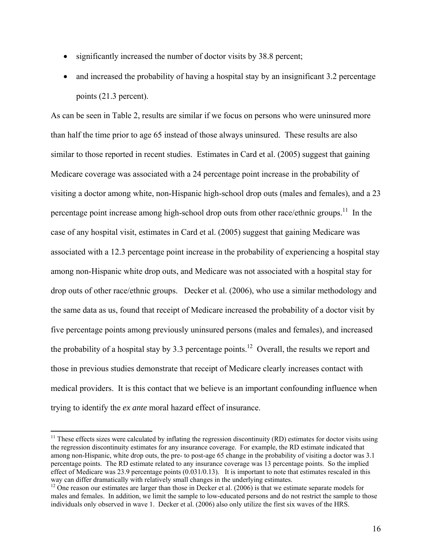- significantly increased the number of doctor visits by 38.8 percent;
- and increased the probability of having a hospital stay by an insignificant 3.2 percentage points (21.3 percent).

As can be seen in Table 2, results are similar if we focus on persons who were uninsured more than half the time prior to age 65 instead of those always uninsured. These results are also similar to those reported in recent studies. Estimates in Card et al. (2005) suggest that gaining Medicare coverage was associated with a 24 percentage point increase in the probability of visiting a doctor among white, non-Hispanic high-school drop outs (males and females), and a 23 percentage point increase among high-school drop outs from other race/ethnic groups.<sup>11</sup> In the case of any hospital visit, estimates in Card et al. (2005) suggest that gaining Medicare was associated with a 12.3 percentage point increase in the probability of experiencing a hospital stay among non-Hispanic white drop outs, and Medicare was not associated with a hospital stay for drop outs of other race/ethnic groups. Decker et al. (2006), who use a similar methodology and the same data as us, found that receipt of Medicare increased the probability of a doctor visit by five percentage points among previously uninsured persons (males and females), and increased the probability of a hospital stay by 3.3 percentage points.<sup>12</sup> Overall, the results we report and those in previous studies demonstrate that receipt of Medicare clearly increases contact with medical providers. It is this contact that we believe is an important confounding influence when trying to identify the *ex ante* moral hazard effect of insurance.

 $\overline{a}$ 

 $11$  These effects sizes were calculated by inflating the regression discontinuity (RD) estimates for doctor visits using the regression discontinuity estimates for any insurance coverage. For example, the RD estimate indicated that among non-Hispanic, white drop outs, the pre- to post-age 65 change in the probability of visiting a doctor was 3.1 percentage points. The RD estimate related to any insurance coverage was 13 percentage points. So the implied effect of Medicare was 23.9 percentage points (0.031/0.13). It is important to note that estimates rescaled in this way can differ dramatically with relatively small changes in the underlying estimates.

<sup>&</sup>lt;sup>12</sup> One reason our estimates are larger than those in Decker et al. (2006) is that we estimate separate models for males and females. In addition, we limit the sample to low-educated persons and do not restrict the sample to those individuals only observed in wave 1. Decker et al. (2006) also only utilize the first six waves of the HRS.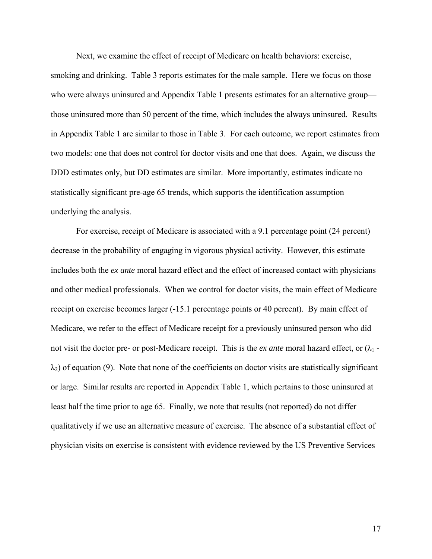Next, we examine the effect of receipt of Medicare on health behaviors: exercise,

smoking and drinking. Table 3 reports estimates for the male sample. Here we focus on those who were always uninsured and Appendix Table 1 presents estimates for an alternative group those uninsured more than 50 percent of the time, which includes the always uninsured. Results in Appendix Table 1 are similar to those in Table 3. For each outcome, we report estimates from two models: one that does not control for doctor visits and one that does. Again, we discuss the DDD estimates only, but DD estimates are similar. More importantly, estimates indicate no statistically significant pre-age 65 trends, which supports the identification assumption underlying the analysis.

For exercise, receipt of Medicare is associated with a 9.1 percentage point (24 percent) decrease in the probability of engaging in vigorous physical activity. However, this estimate includes both the *ex ante* moral hazard effect and the effect of increased contact with physicians and other medical professionals. When we control for doctor visits, the main effect of Medicare receipt on exercise becomes larger (-15.1 percentage points or 40 percent). By main effect of Medicare, we refer to the effect of Medicare receipt for a previously uninsured person who did not visit the doctor pre- or post-Medicare receipt. This is the *ex ante* moral hazard effect, or  $(\lambda_1 \lambda_2$ ) of equation (9). Note that none of the coefficients on doctor visits are statistically significant or large. Similar results are reported in Appendix Table 1, which pertains to those uninsured at least half the time prior to age 65. Finally, we note that results (not reported) do not differ qualitatively if we use an alternative measure of exercise. The absence of a substantial effect of physician visits on exercise is consistent with evidence reviewed by the US Preventive Services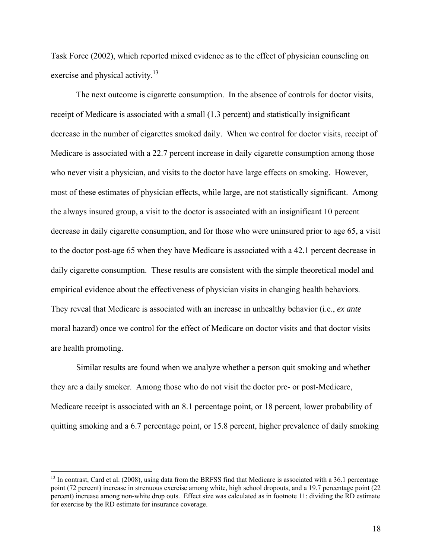Task Force (2002), which reported mixed evidence as to the effect of physician counseling on exercise and physical activity.<sup>13</sup>

The next outcome is cigarette consumption. In the absence of controls for doctor visits, receipt of Medicare is associated with a small (1.3 percent) and statistically insignificant decrease in the number of cigarettes smoked daily. When we control for doctor visits, receipt of Medicare is associated with a 22.7 percent increase in daily cigarette consumption among those who never visit a physician, and visits to the doctor have large effects on smoking. However, most of these estimates of physician effects, while large, are not statistically significant. Among the always insured group, a visit to the doctor is associated with an insignificant 10 percent decrease in daily cigarette consumption, and for those who were uninsured prior to age 65, a visit to the doctor post-age 65 when they have Medicare is associated with a 42.1 percent decrease in daily cigarette consumption. These results are consistent with the simple theoretical model and empirical evidence about the effectiveness of physician visits in changing health behaviors. They reveal that Medicare is associated with an increase in unhealthy behavior (i.e., *ex ante*  moral hazard) once we control for the effect of Medicare on doctor visits and that doctor visits are health promoting.

Similar results are found when we analyze whether a person quit smoking and whether they are a daily smoker. Among those who do not visit the doctor pre- or post-Medicare, Medicare receipt is associated with an 8.1 percentage point, or 18 percent, lower probability of quitting smoking and a 6.7 percentage point, or 15.8 percent, higher prevalence of daily smoking

<u>.</u>

 $13$  In contrast, Card et al. (2008), using data from the BRFSS find that Medicare is associated with a 36.1 percentage point (72 percent) increase in strenuous exercise among white, high school dropouts, and a 19.7 percentage point (22 percent) increase among non-white drop outs. Effect size was calculated as in footnote 11: dividing the RD estimate for exercise by the RD estimate for insurance coverage.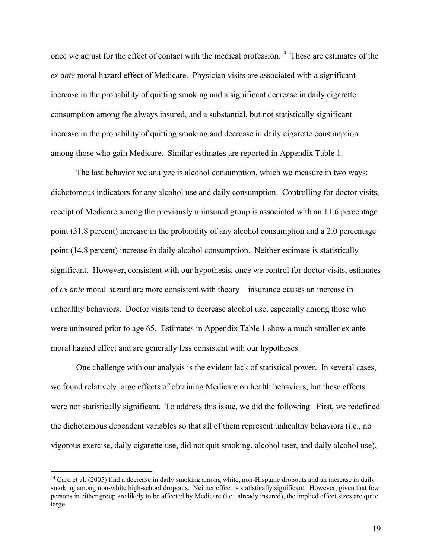once we adjust for the effect of contact with the medical profession.<sup>14</sup> These are estimates of the *ex ante* moral hazard effect of Medicare. Physician visits are associated with a significant increase in the probability of quitting smoking and a significant decrease in daily cigarette consumption among the always insured, and a substantial, but not statistically significant increase in the probability of quitting smoking and decrease in daily cigarette consumption among those who gain Medicare. Similar estimates are reported in Appendix Table 1.

The last behavior we analyze is alcohol consumption, which we measure in two ways: dichotomous indicators for any alcohol use and daily consumption. Controlling for doctor visits, receipt of Medicare among the previously uninsured group is associated with an 11.6 percentage point (31.8 percent) increase in the probability of any alcohol consumption and a 2.0 percentage point (14.8 percent) increase in daily alcohol consumption. Neither estimate is statistically significant. However, consistent with our hypothesis, once we control for doctor visits, estimates of *ex ante* moral hazard are more consistent with theory—insurance causes an increase in unhealthy behaviors. Doctor visits tend to decrease alcohol use, especially among those who were uninsured prior to age 65. Estimates in Appendix Table 1 show a much smaller ex ante moral hazard effect and are generally less consistent with our hypotheses.

One challenge with our analysis is the evident lack of statistical power. In several cases, we found relatively large effects of obtaining Medicare on health behaviors, but these effects were not statistically significant. To address this issue, we did the following. First, we redefined the dichotomous dependent variables so that all of them represent unhealthy behaviors (i.e., no vigorous exercise, daily cigarette use, did not quit smoking, alcohol user, and daily alcohol use),

 $\overline{a}$ 

 $14$  Card et al. (2005) find a decrease in daily smoking among white, non-Hispanic dropouts and an increase in daily smoking among non-white high-school dropouts. Neither effect is statistically significant. However, given that few persons in either group are likely to be affected by Medicare (i.e., already insured), the implied effect sizes are quite large.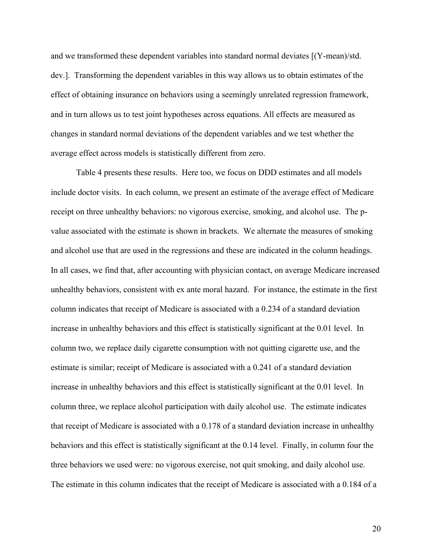and we transformed these dependent variables into standard normal deviates [(Y-mean)/std. dev.]. Transforming the dependent variables in this way allows us to obtain estimates of the effect of obtaining insurance on behaviors using a seemingly unrelated regression framework, and in turn allows us to test joint hypotheses across equations. All effects are measured as changes in standard normal deviations of the dependent variables and we test whether the average effect across models is statistically different from zero.

Table 4 presents these results. Here too, we focus on DDD estimates and all models include doctor visits. In each column, we present an estimate of the average effect of Medicare receipt on three unhealthy behaviors: no vigorous exercise, smoking, and alcohol use. The pvalue associated with the estimate is shown in brackets. We alternate the measures of smoking and alcohol use that are used in the regressions and these are indicated in the column headings. In all cases, we find that, after accounting with physician contact, on average Medicare increased unhealthy behaviors, consistent with ex ante moral hazard. For instance, the estimate in the first column indicates that receipt of Medicare is associated with a 0.234 of a standard deviation increase in unhealthy behaviors and this effect is statistically significant at the 0.01 level. In column two, we replace daily cigarette consumption with not quitting cigarette use, and the estimate is similar; receipt of Medicare is associated with a 0.241 of a standard deviation increase in unhealthy behaviors and this effect is statistically significant at the 0.01 level. In column three, we replace alcohol participation with daily alcohol use. The estimate indicates that receipt of Medicare is associated with a 0.178 of a standard deviation increase in unhealthy behaviors and this effect is statistically significant at the 0.14 level. Finally, in column four the three behaviors we used were: no vigorous exercise, not quit smoking, and daily alcohol use. The estimate in this column indicates that the receipt of Medicare is associated with a 0.184 of a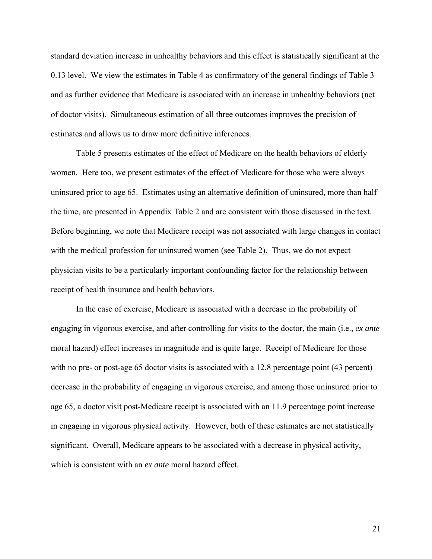standard deviation increase in unhealthy behaviors and this effect is statistically significant at the 0.13 level. We view the estimates in Table 4 as confirmatory of the general findings of Table 3 and as further evidence that Medicare is associated with an increase in unhealthy behaviors (net of doctor visits). Simultaneous estimation of all three outcomes improves the precision of estimates and allows us to draw more definitive inferences.

Table 5 presents estimates of the effect of Medicare on the health behaviors of elderly women. Here too, we present estimates of the effect of Medicare for those who were always uninsured prior to age 65. Estimates using an alternative definition of uninsured, more than half the time, are presented in Appendix Table 2 and are consistent with those discussed in the text. Before beginning, we note that Medicare receipt was not associated with large changes in contact with the medical profession for uninsured women (see Table 2). Thus, we do not expect physician visits to be a particularly important confounding factor for the relationship between receipt of health insurance and health behaviors.

In the case of exercise, Medicare is associated with a decrease in the probability of engaging in vigorous exercise, and after controlling for visits to the doctor, the main (i.e., *ex ante*  moral hazard) effect increases in magnitude and is quite large. Receipt of Medicare for those with no pre- or post-age 65 doctor visits is associated with a 12.8 percentage point (43 percent) decrease in the probability of engaging in vigorous exercise, and among those uninsured prior to age 65, a doctor visit post-Medicare receipt is associated with an 11.9 percentage point increase in engaging in vigorous physical activity. However, both of these estimates are not statistically significant. Overall, Medicare appears to be associated with a decrease in physical activity, which is consistent with an *ex ante* moral hazard effect.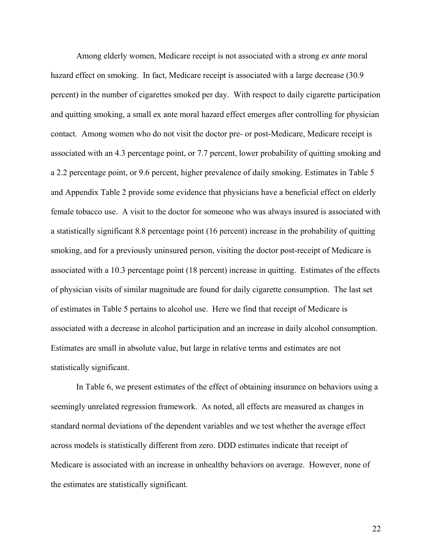Among elderly women, Medicare receipt is not associated with a strong *ex ante* moral hazard effect on smoking. In fact, Medicare receipt is associated with a large decrease (30.9) percent) in the number of cigarettes smoked per day. With respect to daily cigarette participation and quitting smoking, a small ex ante moral hazard effect emerges after controlling for physician contact. Among women who do not visit the doctor pre- or post-Medicare, Medicare receipt is associated with an 4.3 percentage point, or 7.7 percent, lower probability of quitting smoking and a 2.2 percentage point, or 9.6 percent, higher prevalence of daily smoking. Estimates in Table 5 and Appendix Table 2 provide some evidence that physicians have a beneficial effect on elderly female tobacco use. A visit to the doctor for someone who was always insured is associated with a statistically significant 8.8 percentage point (16 percent) increase in the probability of quitting smoking, and for a previously uninsured person, visiting the doctor post-receipt of Medicare is associated with a 10.3 percentage point (18 percent) increase in quitting. Estimates of the effects of physician visits of similar magnitude are found for daily cigarette consumption. The last set of estimates in Table 5 pertains to alcohol use. Here we find that receipt of Medicare is associated with a decrease in alcohol participation and an increase in daily alcohol consumption. Estimates are small in absolute value, but large in relative terms and estimates are not statistically significant.

In Table 6, we present estimates of the effect of obtaining insurance on behaviors using a seemingly unrelated regression framework. As noted, all effects are measured as changes in standard normal deviations of the dependent variables and we test whether the average effect across models is statistically different from zero. DDD estimates indicate that receipt of Medicare is associated with an increase in unhealthy behaviors on average. However, none of the estimates are statistically significant.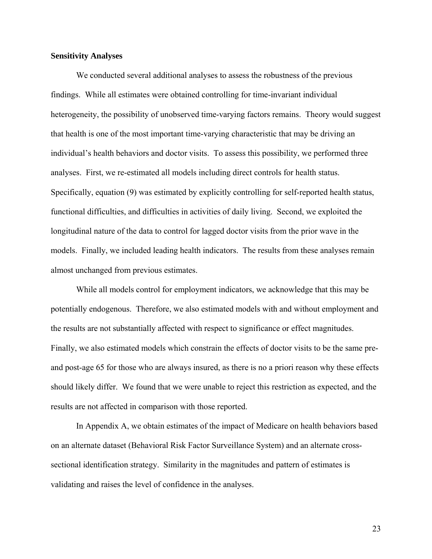# **Sensitivity Analyses**

We conducted several additional analyses to assess the robustness of the previous findings. While all estimates were obtained controlling for time-invariant individual heterogeneity, the possibility of unobserved time-varying factors remains. Theory would suggest that health is one of the most important time-varying characteristic that may be driving an individual's health behaviors and doctor visits. To assess this possibility, we performed three analyses. First, we re-estimated all models including direct controls for health status. Specifically, equation (9) was estimated by explicitly controlling for self-reported health status, functional difficulties, and difficulties in activities of daily living. Second, we exploited the longitudinal nature of the data to control for lagged doctor visits from the prior wave in the models. Finally, we included leading health indicators. The results from these analyses remain almost unchanged from previous estimates.

While all models control for employment indicators, we acknowledge that this may be potentially endogenous. Therefore, we also estimated models with and without employment and the results are not substantially affected with respect to significance or effect magnitudes. Finally, we also estimated models which constrain the effects of doctor visits to be the same preand post-age 65 for those who are always insured, as there is no a priori reason why these effects should likely differ. We found that we were unable to reject this restriction as expected, and the results are not affected in comparison with those reported.

In Appendix A, we obtain estimates of the impact of Medicare on health behaviors based on an alternate dataset (Behavioral Risk Factor Surveillance System) and an alternate crosssectional identification strategy. Similarity in the magnitudes and pattern of estimates is validating and raises the level of confidence in the analyses.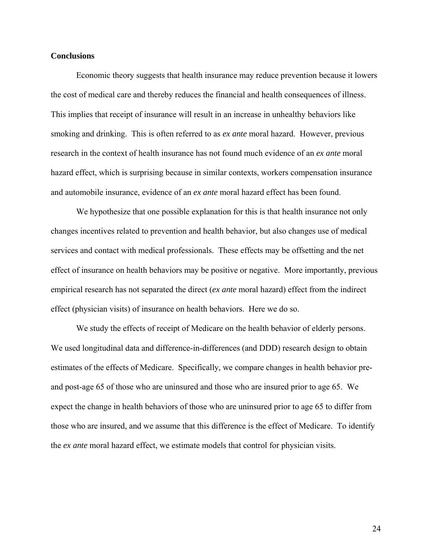### **Conclusions**

 Economic theory suggests that health insurance may reduce prevention because it lowers the cost of medical care and thereby reduces the financial and health consequences of illness. This implies that receipt of insurance will result in an increase in unhealthy behaviors like smoking and drinking. This is often referred to as *ex ante* moral hazard. However, previous research in the context of health insurance has not found much evidence of an *ex ante* moral hazard effect, which is surprising because in similar contexts, workers compensation insurance and automobile insurance, evidence of an *ex ante* moral hazard effect has been found.

We hypothesize that one possible explanation for this is that health insurance not only changes incentives related to prevention and health behavior, but also changes use of medical services and contact with medical professionals. These effects may be offsetting and the net effect of insurance on health behaviors may be positive or negative. More importantly, previous empirical research has not separated the direct (*ex ante* moral hazard) effect from the indirect effect (physician visits) of insurance on health behaviors. Here we do so.

We study the effects of receipt of Medicare on the health behavior of elderly persons. We used longitudinal data and difference-in-differences (and DDD) research design to obtain estimates of the effects of Medicare. Specifically, we compare changes in health behavior preand post-age 65 of those who are uninsured and those who are insured prior to age 65. We expect the change in health behaviors of those who are uninsured prior to age 65 to differ from those who are insured, and we assume that this difference is the effect of Medicare. To identify the *ex ante* moral hazard effect, we estimate models that control for physician visits.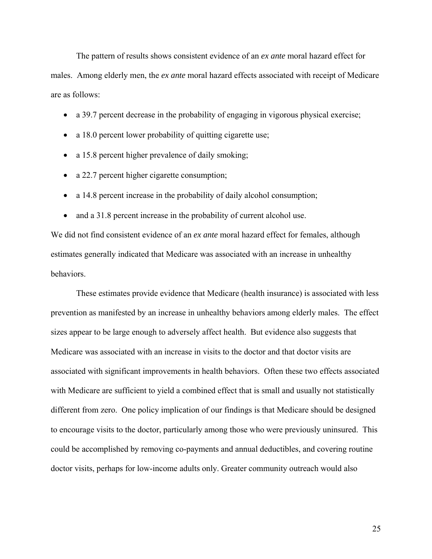The pattern of results shows consistent evidence of an *ex ante* moral hazard effect for males. Among elderly men, the *ex ante* moral hazard effects associated with receipt of Medicare are as follows:

- a 39.7 percent decrease in the probability of engaging in vigorous physical exercise;
- a 18.0 percent lower probability of quitting cigarette use;
- a 15.8 percent higher prevalence of daily smoking;
- a 22.7 percent higher cigarette consumption;
- a 14.8 percent increase in the probability of daily alcohol consumption;
- and a 31.8 percent increase in the probability of current alcohol use.

We did not find consistent evidence of an *ex ante* moral hazard effect for females, although estimates generally indicated that Medicare was associated with an increase in unhealthy behaviors.

These estimates provide evidence that Medicare (health insurance) is associated with less prevention as manifested by an increase in unhealthy behaviors among elderly males. The effect sizes appear to be large enough to adversely affect health. But evidence also suggests that Medicare was associated with an increase in visits to the doctor and that doctor visits are associated with significant improvements in health behaviors. Often these two effects associated with Medicare are sufficient to yield a combined effect that is small and usually not statistically different from zero. One policy implication of our findings is that Medicare should be designed to encourage visits to the doctor, particularly among those who were previously uninsured. This could be accomplished by removing co-payments and annual deductibles, and covering routine doctor visits, perhaps for low-income adults only. Greater community outreach would also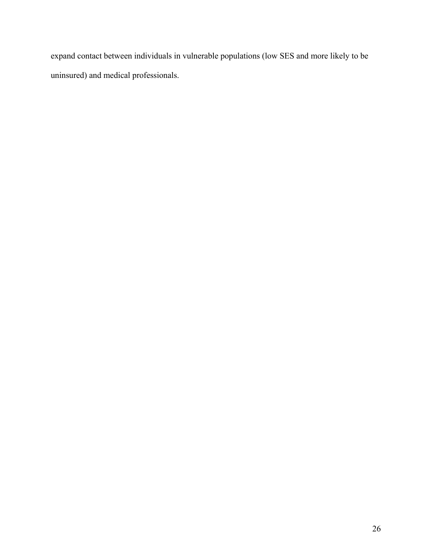expand contact between individuals in vulnerable populations (low SES and more likely to be uninsured) and medical professionals.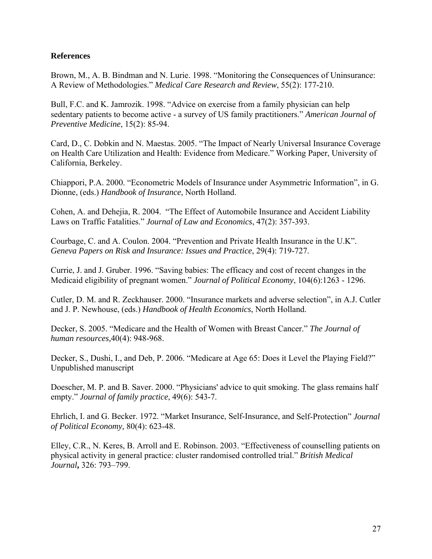# **References**

Brown, M., A. B. Bindman and N. Lurie. 1998. "Monitoring the Consequences of Uninsurance: A Review of Methodologies." *Medical Care Research and Review*, 55(2): 177-210.

Bull, F.C. and K. Jamrozik. 1998. "Advice on exercise from a family physician can help sedentary patients to become active - a survey of US family practitioners." *American Journal of Preventive Medicine*, 15(2): 85-94.

Card, D., C. Dobkin and N. Maestas. 2005. "The Impact of Nearly Universal Insurance Coverage on Health Care Utilization and Health: Evidence from Medicare." Working Paper, University of California, Berkeley.

Chiappori, P.A. 2000. "Econometric Models of Insurance under Asymmetric Information", in G. Dionne, (eds.) *Handbook of Insurance*, North Holland.

Cohen, A. and Dehejia, R. 2004. "The Effect of Automobile Insurance and Accident Liability Laws on Traffic Fatalities." *Journal of Law and Economics*, 47(2): 357-393.

Courbage, C. and A. Coulon. 2004. "Prevention and Private Health Insurance in the U.K". *Geneva Papers on Risk and Insurance: Issues and Practice*, 29(4): 719-727.

Currie, J. and J. Gruber. 1996. "Saving babies: The efficacy and cost of recent changes in the Medicaid eligibility of pregnant women." *Journal of Political Economy*, 104(6):1263 - 1296.

Cutler, D. M. and R. Zeckhauser. 2000. "Insurance markets and adverse selection", in A.J. Cutler and J. P. Newhouse, (eds.) *Handbook of Health Economics*, North Holland.

Decker, S. 2005. "Medicare and the Health of Women with Breast Cancer." *The Journal of human resources,*40(4): 948-968.

Decker, S., Dushi, I., and Deb, P. 2006. "Medicare at Age 65: Does it Level the Playing Field?" Unpublished manuscript

Doescher, M. P. and B. Saver. 2000. "Physicians' advice to quit smoking. The glass remains half empty." *Journal of family practice*, 49(6): 543-7.

Ehrlich, I. and G. Becker. 1972. "Market Insurance, Self-Insurance, and Self-Protection" *Journal of Political Economy,* 80(4): 623-48.

Elley, C.R., N. Keres, B. Arroll and E. Robinson. 2003. "Effectiveness of counselling patients on physical activity in general practice: cluster randomised controlled trial." *British Medical Journal***,** 326: 793–799.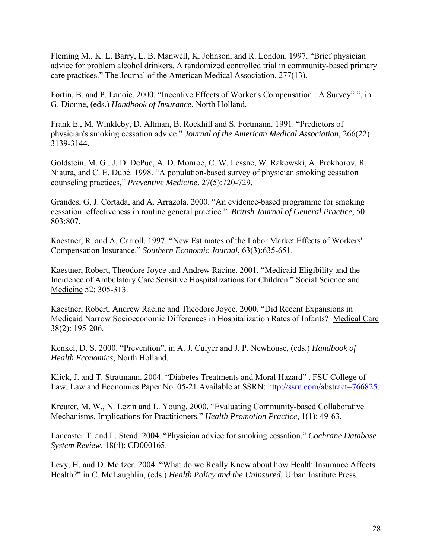Fleming M., K. L. Barry, L. B. Manwell, K. Johnson, and R. London. 1997. "Brief physician advice for problem alcohol drinkers. A randomized controlled trial in community-based primary care practices." The Journal of the American Medical Association, 277(13).

Fortin, B. and P. Lanoie, 2000. "Incentive Effects of Worker's Compensation : A Survey" ", in G. Dionne, (eds.) *Handbook of Insurance*, North Holland.

Frank E., M. Winkleby, D. Altman, B. Rockhill and S. Fortmann. 1991. "Predictors of physician's smoking cessation advice." *Journal of the American Medical Association*, 266(22): 3139-3144.

Goldstein, M. G., J. D. DePue, A. D. Monroe, C. W. Lessne, W. Rakowski, A. Prokhorov, R. Niaura, and C. E. Dubé. 1998. "A population-based survey of physician smoking cessation counseling practices," *Preventive Medicine*. 27(5):720-729.

Grandes, G, J. Cortada, and A. Arrazola. 2000. "An evidence-based programme for smoking cessation: effectiveness in routine general practice." *British Journal of General Practice*, 50: 803:807.

Kaestner, R. and A. Carroll. 1997. "New Estimates of the Labor Market Effects of Workers' Compensation Insurance." *Southern Economic Journal*, 63(3):635-651.

Kaestner, Robert, Theodore Joyce and Andrew Racine. 2001. "Medicaid Eligibility and the Incidence of Ambulatory Care Sensitive Hospitalizations for Children." Social Science and Medicine 52: 305-313.

Kaestner, Robert, Andrew Racine and Theodore Joyce. 2000. "Did Recent Expansions in Medicaid Narrow Socioeconomic Differences in Hospitalization Rates of Infants? Medical Care 38(2): 195-206.

Kenkel, D. S. 2000. "Prevention", in A. J. Culyer and J. P. Newhouse, (eds.) *Handbook of Health Economics*, North Holland.

Klick, J. and T. Stratmann. 2004. "Diabetes Treatments and Moral Hazard" . FSU College of Law, Law and Economics Paper No. 05-21 Available at SSRN: http://ssrn.com/abstract=766825.

Kreuter, M. W., N. Lezin and L. Young. 2000. "Evaluating Community-based Collaborative Mechanisms, Implications for Practitioners." *Health Promotion Practice*, 1(1): 49-63.

Lancaster T. and L. Stead. 2004. "Physician advice for smoking cessation." *Cochrane Database System Review*, 18(4): CD000165.

Levy, H. and D. Meltzer. 2004. "What do we Really Know about how Health Insurance Affects Health?" in C. McLaughlin, (eds.) *Health Policy and the Uninsured*, Urban Institute Press.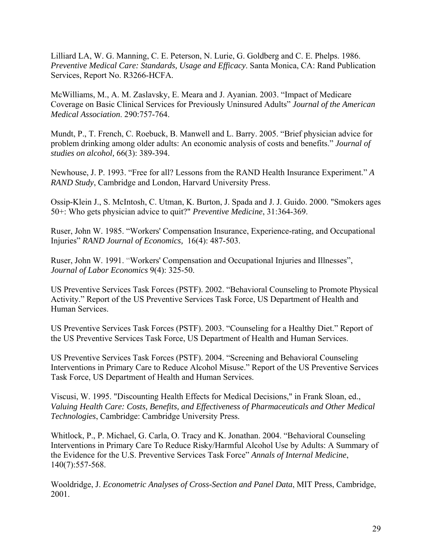Lilliard LA, W. G. Manning, C. E. Peterson, N. Lurie, G. Goldberg and C. E. Phelps. 1986. *Preventive Medical Care: Standards, Usage and Efficacy*. Santa Monica, CA: Rand Publication Services, Report No. R3266-HCFA.

McWilliams, M., A. M. Zaslavsky, E. Meara and J. Ayanian. 2003. "Impact of Medicare Coverage on Basic Clinical Services for Previously Uninsured Adults" *Journal of the American Medical Association*. 290:757-764.

Mundt, P., T. French, C. Roebuck, B. Manwell and L. Barry. 2005. "Brief physician advice for problem drinking among older adults: An economic analysis of costs and benefits." *Journal of studies on alcohol,* 66(3): 389-394.

Newhouse, J. P. 1993. "Free for all? Lessons from the RAND Health Insurance Experiment." *A RAND Study*, Cambridge and London, Harvard University Press.

Ossip-Klein J., S. McIntosh, C. Utman, K. Burton, J. Spada and J. J. Guido. 2000. "Smokers ages 50+: Who gets physician advice to quit?" *Preventive Medicine*, 31:364-369.

Ruser, John W. 1985. "Workers' Compensation Insurance, Experience-rating, and Occupational Injuries" *RAND Journal of Economics,* 16(4): 487-503.

Ruser, John W. 1991. "Workers' Compensation and Occupational Injuries and Illnesses", *Journal of Labor Economics* 9(4): 325-50.

US Preventive Services Task Forces (PSTF). 2002. "Behavioral Counseling to Promote Physical Activity." Report of the US Preventive Services Task Force, US Department of Health and Human Services.

US Preventive Services Task Forces (PSTF). 2003. "Counseling for a Healthy Diet." Report of the US Preventive Services Task Force, US Department of Health and Human Services.

US Preventive Services Task Forces (PSTF). 2004. "Screening and Behavioral Counseling Interventions in Primary Care to Reduce Alcohol Misuse." Report of the US Preventive Services Task Force, US Department of Health and Human Services.

Viscusi, W. 1995. "Discounting Health Effects for Medical Decisions," in Frank Sloan, ed., *Valuing Health Care: Costs, Benefits, and Effectiveness of Pharmaceuticals and Other Medical Technologies*, Cambridge: Cambridge University Press.

Whitlock, P., P. Michael, G. Carla, O. Tracy and K. Jonathan. 2004. "Behavioral Counseling Interventions in Primary Care To Reduce Risky/Harmful Alcohol Use by Adults: A Summary of the Evidence for the U.S. Preventive Services Task Force" *Annals of Internal Medicine*, 140(7):557-568.

Wooldridge, J. *Econometric Analyses of Cross-Section and Panel Data*, MIT Press, Cambridge, 2001.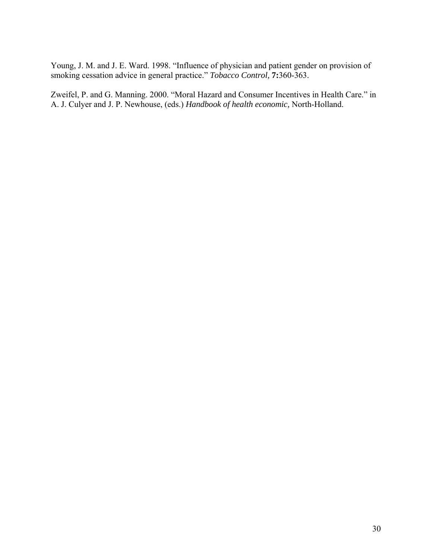Young, J. M. and J. E. Ward. 1998. "Influence of physician and patient gender on provision of smoking cessation advice in general practice." *Tobacco Control,* **7:**360-363.

Zweifel, P. and G. Manning. 2000. "Moral Hazard and Consumer Incentives in Health Care." in A. J. Culyer and J. P. Newhouse, (eds.) *Handbook of health economic,* North-Holland.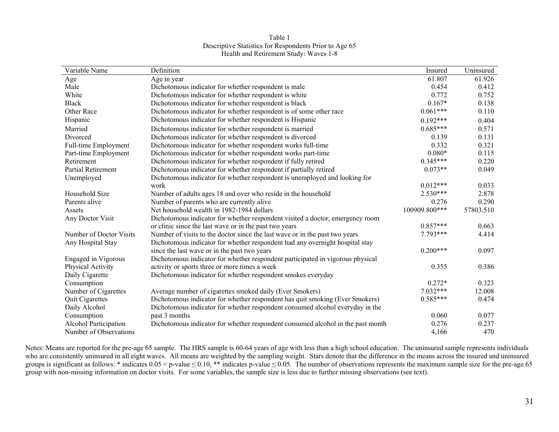| Variable Name                | Definition                                                                      | Insured       | Uninsured |
|------------------------------|---------------------------------------------------------------------------------|---------------|-----------|
| Age                          | Age in year                                                                     | 61.807        | 61.926    |
| Male                         | Dichotomous indicator for whether respondent is male                            | 0.454         | 0.412     |
| White                        | Dichotomous indicator for whether respondent is white                           | 0.772         | 0.752     |
| <b>Black</b>                 | Dichotomous indicator for whether respondent is black                           | $0.167*$      | 0.138     |
| Other Race                   | Dichotomous indicator for whether respondent is of some other race              | $0.061***$    | 0.110     |
| Hispanic                     | Dichotomous indicator for whether respondent is Hispanic                        | $0.192***$    | 0.404     |
| Married                      | Dichotomous indicator for whether respondent is married                         | $0.685***$    | 0.571     |
| Divorced                     | Dichotomous indicator for whether respondent is divorced                        | 0.139         | 0.131     |
| Full-time Employment         | Dichotomous indicator for whether respondent works full-time                    | 0.332         | 0.321     |
| Part-time Employment         | Dichotomous indicator for whether respondent works part-time                    | $0.080*$      | 0.115     |
| Retirement                   | Dichotomous indicator for whether respondent if fully retired                   | $0.345***$    | 0.220     |
| <b>Partial Retirement</b>    | Dichotomous indicator for whether respondent if partially retired               | $0.073**$     | 0.049     |
| Unemployed                   | Dichotomous indicator for whether respondent is unemployed and looking for      |               |           |
|                              | work                                                                            | $0.012***$    | 0.033     |
| Household Size               | Number of adults ages 18 and over who reside in the household                   | $2.530***$    | 2.878     |
| Parents alive                | Number of parents who are currently alive                                       | 0.276         | 0.290     |
| Assets                       | Net household wealth in 1982-1984 dollars                                       | 100909.800*** | 57803.510 |
| Any Doctor Visit             | Dichotomous indicator for whether respondent visited a doctor, emergency room   |               |           |
|                              | or clinic since the last wave or in the past two years                          | $0.857***$    | 0.663     |
| Number of Doctor Visits      | Number of visits to the doctor since the last wave or in the past two years     | 7.793***      | 4.414     |
| Any Hospital Stay            | Dichotomous indicator for whether respondent had any overnight hospital stay    |               |           |
|                              | since the last wave or in the past two years                                    | $0.200***$    | 0.097     |
| Engaged in Vigorous          | Dichotomous indicator for whether respondent participated in vigorous physical  |               |           |
| Physical Activity            | activity or sports three or more times a week                                   | 0.355         | 0.386     |
| Daily Cigarette              | Dichotomous indicator for whether respondent smokes everyday                    |               |           |
| Consumption                  |                                                                                 | $0.272*$      | 0.323     |
| Number of Cigarettes         | Average number of cigarettes smoked daily (Ever Smokers)                        | $7.032***$    | 12.008    |
| Quit Cigarettes              | Dichotomous indicator for whether respondent has quit smoking (Ever Smokers)    | $0.585***$    | 0.474     |
| Daily Alcohol                | Dichotomous indicator for whether respondent consumed alcohol everyday in the   |               |           |
| Consumption                  | past 3 months                                                                   | 0.060         | 0.077     |
| <b>Alcohol Participation</b> | Dichotomous indicator for whether respondent consumed alcohol in the past month | 0.276         | 0.237     |
| Number of Observations       |                                                                                 | 4,166         | 470       |

Table 1 Descriptive Statistics for Respondents Prior to Age 65 Health and Retirement Study: Waves 1-8

Notes: Means are reported for the pre-age 65 sample. The HRS sample is 60-64 years of age with less than a high school education. The uninsured sample represents individuals who are consistently uninsured in all eight waves. All means are weighted by the sampling weight. Stars denote that the difference in the means across the insured and uninsured groups is significant as follows: \* indicates  $0.05 < p$ -value  $\le 0.10$ , \*\* indicates p-value  $\le 0.05$ . The number of observations represents the maximum sample size for the pre-age 65 group with non-missing information on doctor visits. For some variables, the sample size is less due to further missing observations (see text).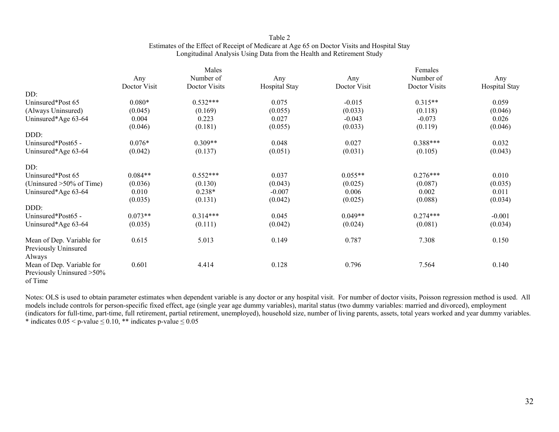### Table 2 Estimates of the Effect of Receipt of Medicare at Age 65 on Doctor Visits and Hospital Stay Longitudinal Analysis Using Data from the Health and Retirement Study

|                                                                             |              | Males         |               | Females      |               |               |  |  |
|-----------------------------------------------------------------------------|--------------|---------------|---------------|--------------|---------------|---------------|--|--|
|                                                                             | Any          | Number of     | Any           | Any          | Number of     | Any           |  |  |
|                                                                             | Doctor Visit | Doctor Visits | Hospital Stay | Doctor Visit | Doctor Visits | Hospital Stay |  |  |
| DD:                                                                         |              |               |               |              |               |               |  |  |
| Uninsured*Post 65                                                           | $0.080*$     | $0.532***$    | 0.075         | $-0.015$     | $0.315**$     | 0.059         |  |  |
| (Always Uninsured)                                                          | (0.045)      | (0.169)       | (0.055)       | (0.033)      | (0.118)       | (0.046)       |  |  |
| Uninsured*Age 63-64                                                         | 0.004        | 0.223         | 0.027         | $-0.043$     | $-0.073$      | 0.026         |  |  |
|                                                                             | (0.046)      | (0.181)       | (0.055)       | (0.033)      | (0.119)       | (0.046)       |  |  |
| DDD:                                                                        |              |               |               |              |               |               |  |  |
| Uninsured*Post65 -                                                          | $0.076*$     | $0.309**$     | 0.048         | 0.027        | $0.388***$    | 0.032         |  |  |
| Uninsured*Age 63-64                                                         | (0.042)      | (0.137)       | (0.051)       | (0.031)      | (0.105)       | (0.043)       |  |  |
| DD:                                                                         |              |               |               |              |               |               |  |  |
| Uninsured*Post 65                                                           | $0.084**$    | $0.552***$    | 0.037         | $0.055**$    | $0.276***$    | 0.010         |  |  |
| (Uninsured >50% of Time)                                                    | (0.036)      | (0.130)       | (0.043)       | (0.025)      | (0.087)       | (0.035)       |  |  |
| Uninsured*Age 63-64                                                         | 0.010        | $0.238*$      | $-0.007$      | 0.006        | 0.002         | 0.011         |  |  |
|                                                                             | (0.035)      | (0.131)       | (0.042)       | (0.025)      | (0.088)       | (0.034)       |  |  |
| DDD:                                                                        |              |               |               |              |               |               |  |  |
| Uninsured*Post65 -                                                          | $0.073**$    | $0.314***$    | 0.045         | $0.049**$    | $0.274***$    | $-0.001$      |  |  |
| Uninsured*Age 63-64                                                         | (0.035)      | (0.111)       | (0.042)       | (0.024)      | (0.081)       | (0.034)       |  |  |
| Mean of Dep. Variable for<br>Previously Uninsured                           | 0.615        | 5.013         | 0.149         | 0.787        | 7.308         | 0.150         |  |  |
| Always<br>Mean of Dep. Variable for<br>Previously Uninsured >50%<br>of Time | 0.601        | 4.414         | 0.128         | 0.796        | 7.564         | 0.140         |  |  |

Notes: OLS is used to obtain parameter estimates when dependent variable is any doctor or any hospital visit. For number of doctor visits, Poisson regression method is used. All models include controls for person-specific fixed effect, age (single year age dummy variables), marital status (two dummy variables: married and divorced), employment (indicators for full-time, part-time, full retirement, partial retirement, unemployed), household size, number of living parents, assets, total years worked and year dummy variables. \* indicates  $0.05 < p$ -value  $\leq 0.10$ , \*\* indicates p-value  $\leq 0.05$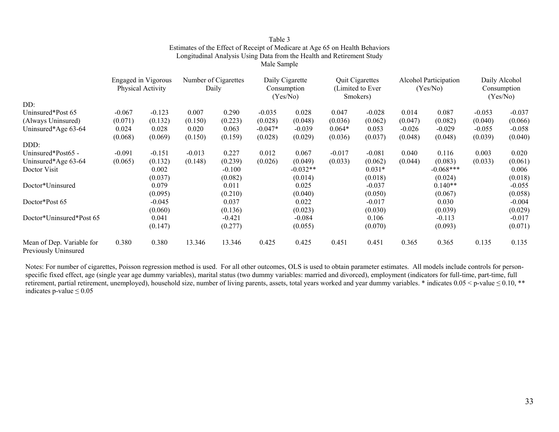|                       | Estimates of the Effect of Receipt of Medicare at Age 65 on Health Behaviors<br>Longitudinal Analysis Using Data from the Health and Retirement Study | Table 3<br>Male Sample |                              |                                 |
|-----------------------|-------------------------------------------------------------------------------------------------------------------------------------------------------|------------------------|------------------------------|---------------------------------|
| Engaged in Vigorous   | Number of Cigarettes                                                                                                                                  | Daily Cigarette        | <b>Quit Cigarettes</b>       | Alcohol Participation           |
| $Dh$ $(201 \text{ A}$ | D <sub>0</sub>                                                                                                                                        | $C_{\alpha}$ ngumutian | $T_{initial}$ to $T_{total}$ | $(V_{\alpha\alpha}/M_{\alpha})$ |

|                                                   | <b>Engaged</b> in Vigorous<br>Physical Activity |          | Number of Cigarettes<br>Daily |          | Daily Cigarette<br>Consumption<br>(Yes/No) |            | <b>Quit Cigarettes</b><br>(Limited to Ever<br>Smokers) |          | Alcohol Participation<br>(Yes/No) |             | Daily Alcohol<br>Consumption<br>(Yes/No) |          |
|---------------------------------------------------|-------------------------------------------------|----------|-------------------------------|----------|--------------------------------------------|------------|--------------------------------------------------------|----------|-----------------------------------|-------------|------------------------------------------|----------|
| DD:                                               |                                                 |          |                               |          |                                            |            |                                                        |          |                                   |             |                                          |          |
| Uninsured*Post 65                                 | $-0.067$                                        | $-0.123$ | 0.007                         | 0.290    | $-0.035$                                   | 0.028      | 0.047                                                  | $-0.028$ | 0.014                             | 0.087       | $-0.053$                                 | $-0.037$ |
| (Always Uninsured)                                | (0.071)                                         | (0.132)  | (0.150)                       | (0.223)  | (0.028)                                    | (0.048)    | (0.036)                                                | (0.062)  | (0.047)                           | (0.082)     | (0.040)                                  | (0.066)  |
| Uninsured*Age 63-64                               | 0.024                                           | 0.028    | 0.020                         | 0.063    | $-0.047*$                                  | $-0.039$   | $0.064*$                                               | 0.053    | $-0.026$                          | $-0.029$    | $-0.055$                                 | $-0.058$ |
|                                                   | (0.068)                                         | (0.069)  | (0.150)                       | (0.159)  | (0.028)                                    | (0.029)    | (0.036)                                                | (0.037)  | (0.048)                           | (0.048)     | (0.039)                                  | (0.040)  |
| DDD:                                              |                                                 |          |                               |          |                                            |            |                                                        |          |                                   |             |                                          |          |
| Uninsured*Post65 -                                | $-0.091$                                        | $-0.151$ | $-0.013$                      | 0.227    | 0.012                                      | 0.067      | $-0.017$                                               | $-0.081$ | 0.040                             | 0.116       | 0.003                                    | 0.020    |
| Uninsured*Age 63-64                               | (0.065)                                         | (0.132)  | (0.148)                       | (0.239)  | (0.026)                                    | (0.049)    | (0.033)                                                | (0.062)  | (0.044)                           | (0.083)     | (0.033)                                  | (0.061)  |
| Doctor Visit                                      |                                                 | 0.002    |                               | $-0.100$ |                                            | $-0.032**$ |                                                        | $0.031*$ |                                   | $-0.068***$ |                                          | 0.006    |
|                                                   |                                                 | (0.037)  |                               | (0.082)  |                                            | (0.014)    |                                                        | (0.018)  |                                   | (0.024)     |                                          | (0.018)  |
| Doctor*Uninsured                                  |                                                 | 0.079    |                               | 0.011    |                                            | 0.025      |                                                        | $-0.037$ |                                   | $0.140**$   |                                          | $-0.055$ |
|                                                   |                                                 | (0.095)  |                               | (0.210)  |                                            | (0.040)    |                                                        | (0.050)  |                                   | (0.067)     |                                          | (0.058)  |
| Doctor*Post 65                                    |                                                 | $-0.045$ |                               | 0.037    |                                            | 0.022      |                                                        | $-0.017$ |                                   | 0.030       |                                          | $-0.004$ |
|                                                   |                                                 | (0.060)  |                               | (0.136)  |                                            | (0.023)    |                                                        | (0.030)  |                                   | (0.039)     |                                          | (0.029)  |
| Doctor*Uninsured*Post 65                          |                                                 | 0.041    |                               | $-0.421$ |                                            | $-0.084$   |                                                        | 0.106    |                                   | $-0.113$    |                                          | $-0.017$ |
|                                                   |                                                 | (0.147)  |                               | (0.277)  |                                            | (0.055)    |                                                        | (0.070)  |                                   | (0.093)     |                                          | (0.071)  |
| Mean of Dep. Variable for<br>Previously Uninsured | 0.380                                           | 0.380    | 13.346                        | 13.346   | 0.425                                      | 0.425      | 0.451                                                  | 0.451    | 0.365                             | 0.365       | 0.135                                    | 0.135    |

Notes: For number of cigarettes, Poisson regression method is used. For all other outcomes, OLS is used to obtain parameter estimates. All models include controls for personspecific fixed effect, age (single year age dummy variables), marital status (two dummy variables: married and divorced), employment (indicators for full-time, part-time, full retirement, partial retirement, unemployed), household size, number of living parents, assets, total years worked and year dummy variables. \* indicates 0.05 < p-value ≤ 0.10, \*\* indicates p-value  $\leq 0.05$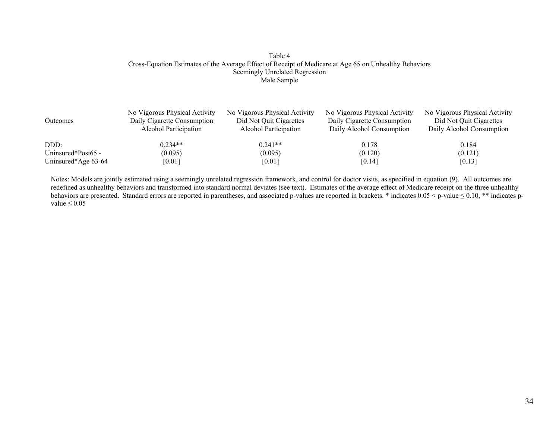#### Table 4 Cross-Equation Estimates of the Average Effect of Receipt of Medicare at Age 65 on Unhealthy Behaviors Seemingly Unrelated Regression Male Sample

| <b>Outcomes</b>     | No Vigorous Physical Activity<br>Daily Cigarette Consumption<br>Alcohol Participation | No Vigorous Physical Activity<br>Did Not Quit Cigarettes<br>Alcohol Participation | No Vigorous Physical Activity<br>Daily Cigarette Consumption<br>Daily Alcohol Consumption | No Vigorous Physical Activity<br>Did Not Quit Cigarettes<br>Daily Alcohol Consumption |
|---------------------|---------------------------------------------------------------------------------------|-----------------------------------------------------------------------------------|-------------------------------------------------------------------------------------------|---------------------------------------------------------------------------------------|
| DDD:                | $0.234**$                                                                             | $0.241**$                                                                         | 0.178                                                                                     | 0.184                                                                                 |
| Uninsured*Post65 -  | (0.095)                                                                               | (0.095)                                                                           | (0.120)                                                                                   | (0.121)                                                                               |
| Uninsured*Age 63-64 | [0.01]                                                                                | [0.01]                                                                            | [0.14]                                                                                    | [0.13]                                                                                |

Notes: Models are jointly estimated using a seemingly unrelated regression framework, and control for doctor visits, as specified in equation (9). All outcomes are redefined as unhealthy behaviors and transformed into standard normal deviates (see text). Estimates of the average effect of Medicare receipt on the three unhealthy behaviors are presented. Standard errors are reported in parentheses, and associated p-values are reported in brackets. \* indicates 0.05 < p-value ≤ 0.10, \*\* indicates p value  $\leq 0.05$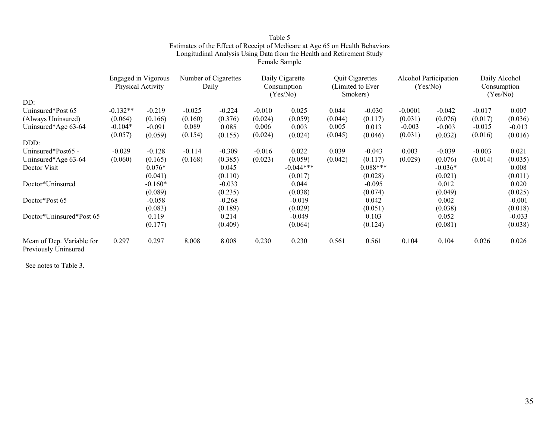|                                                   | Engaged in Vigorous<br>Physical Activity |           | Number of Cigarettes<br>Daily |          | Daily Cigarette<br>Consumption<br>(Yes/No) |             | <b>Quit Cigarettes</b><br>(Limited to Ever)<br>Smokers) |            | Alcohol Participation<br>(Yes/No) |           | Daily Alcohol<br>Consumption<br>(Yes/No) |          |
|---------------------------------------------------|------------------------------------------|-----------|-------------------------------|----------|--------------------------------------------|-------------|---------------------------------------------------------|------------|-----------------------------------|-----------|------------------------------------------|----------|
| DD:                                               |                                          |           |                               |          |                                            |             |                                                         |            |                                   |           |                                          |          |
| Uninsured*Post 65                                 | $-0.132**$                               | $-0.219$  | $-0.025$                      | $-0.224$ | $-0.010$                                   | 0.025       | 0.044                                                   | $-0.030$   | $-0.0001$                         | $-0.042$  | $-0.017$                                 | 0.007    |
| (Always Uninsured)                                | (0.064)                                  | (0.166)   | (0.160)                       | (0.376)  | (0.024)                                    | (0.059)     | (0.044)                                                 | (0.117)    | (0.031)                           | (0.076)   | (0.017)                                  | (0.036)  |
| Uninsured*Age 63-64                               | $-0.104*$                                | $-0.091$  | 0.089                         | 0.085    | 0.006                                      | 0.003       | 0.005                                                   | 0.013      | $-0.003$                          | $-0.003$  | $-0.015$                                 | $-0.013$ |
|                                                   | (0.057)                                  | (0.059)   | (0.154)                       | (0.155)  | (0.024)                                    | (0.024)     | (0.045)                                                 | (0.046)    | (0.031)                           | (0.032)   | (0.016)                                  | (0.016)  |
| DDD:                                              |                                          |           |                               |          |                                            |             |                                                         |            |                                   |           |                                          |          |
| Uninsured*Post65 -                                | $-0.029$                                 | $-0.128$  | $-0.114$                      | $-0.309$ | $-0.016$                                   | 0.022       | 0.039                                                   | $-0.043$   | 0.003                             | $-0.039$  | $-0.003$                                 | 0.021    |
| Uninsured*Age 63-64                               | (0.060)                                  | (0.165)   | (0.168)                       | (0.385)  | (0.023)                                    | (0.059)     | (0.042)                                                 | (0.117)    | (0.029)                           | (0.076)   | (0.014)                                  | (0.035)  |
| Doctor Visit                                      |                                          | $0.076*$  |                               | 0.045    |                                            | $-0.044***$ |                                                         | $0.088***$ |                                   | $-0.036*$ |                                          | 0.008    |
|                                                   |                                          | (0.041)   |                               | (0.110)  |                                            | (0.017)     |                                                         | (0.028)    |                                   | (0.021)   |                                          | (0.011)  |
| Doctor*Uninsured                                  |                                          | $-0.160*$ |                               | $-0.033$ |                                            | 0.044       |                                                         | $-0.095$   |                                   | 0.012     |                                          | 0.020    |
|                                                   |                                          | (0.089)   |                               | (0.235)  |                                            | (0.038)     |                                                         | (0.074)    |                                   | (0.049)   |                                          | (0.025)  |
| Doctor*Post 65                                    |                                          | $-0.058$  |                               | $-0.268$ |                                            | $-0.019$    |                                                         | 0.042      |                                   | 0.002     |                                          | $-0.001$ |
|                                                   |                                          | (0.083)   |                               | (0.189)  |                                            | (0.029)     |                                                         | (0.051)    |                                   | (0.038)   |                                          | (0.018)  |
| Doctor*Uninsured*Post 65                          |                                          | 0.119     |                               | 0.214    |                                            | $-0.049$    |                                                         | 0.103      |                                   | 0.052     |                                          | $-0.033$ |
|                                                   |                                          | (0.177)   |                               | (0.409)  |                                            | (0.064)     |                                                         | (0.124)    |                                   | (0.081)   |                                          | (0.038)  |
| Mean of Dep. Variable for<br>Previously Uninsured | 0.297                                    | 0.297     | 8.008                         | 8.008    | 0.230                                      | 0.230       | 0.561                                                   | 0.561      | 0.104                             | 0.104     | 0.026                                    | 0.026    |

Table 5 Estimates of the Effect of Receipt of Medicare at Age 65 on Health Behaviors Longitudinal Analysis Using Data from the Health and Retirement Study

Female Sample

See notes to Table 3.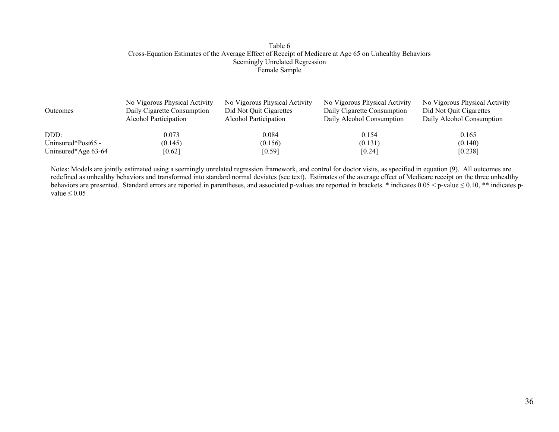#### Table 6 Cross-Equation Estimates of the Average Effect of Receipt of Medicare at Age 65 on Unhealthy Behaviors Seemingly Unrelated Regression Female Sample

| <b>Outcomes</b>     | No Vigorous Physical Activity<br>Daily Cigarette Consumption<br>Alcohol Participation | No Vigorous Physical Activity<br>Did Not Quit Cigarettes<br>Alcohol Participation | No Vigorous Physical Activity<br>Daily Cigarette Consumption<br>Daily Alcohol Consumption | No Vigorous Physical Activity<br>Did Not Quit Cigarettes<br>Daily Alcohol Consumption |
|---------------------|---------------------------------------------------------------------------------------|-----------------------------------------------------------------------------------|-------------------------------------------------------------------------------------------|---------------------------------------------------------------------------------------|
| DDD:                | 0.073                                                                                 | 0.084                                                                             | 0.154                                                                                     | 0.165                                                                                 |
| Uninsured*Post65 -  | (0.145)                                                                               | (0.156)                                                                           | (0.131)                                                                                   | (0.140)                                                                               |
| Uninsured*Age 63-64 | [0.62]                                                                                | [0.59]                                                                            | [0.24]                                                                                    | [0.238]                                                                               |

Notes: Models are jointly estimated using a seemingly unrelated regression framework, and control for doctor visits, as specified in equation (9). All outcomes are redefined as unhealthy behaviors and transformed into standard normal deviates (see text). Estimates of the average effect of Medicare receipt on the three unhealthy behaviors are presented. Standard errors are reported in parentheses, and associated p-values are reported in brackets. \* indicates 0.05 < p-value ≤ 0.10, \*\* indicates p value  $\leq 0.05$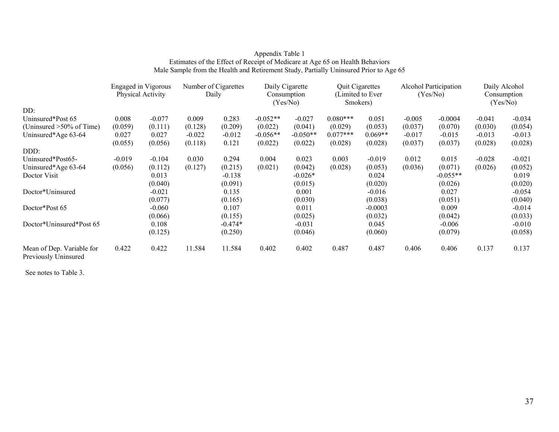### Appendix Table 1 Estimates of the Effect of Receipt of Medicare at Age 65 on Health Behaviors Male Sample from the Health and Retirement Study, Partially Uninsured Prior to Age 65

|                                                   | <b>Engaged</b> in Vigorous<br>Physical Activity |          | Number of Cigarettes<br>Daily |           | Daily Cigarette<br>Consumption<br>(Yes/No) |            | <b>Quit Cigarettes</b><br>(Limited to Ever)<br>Smokers) |           | Alcohol Participation<br>(Yes/No) |            | Daily Alcohol<br>Consumption<br>(Yes/No) |          |
|---------------------------------------------------|-------------------------------------------------|----------|-------------------------------|-----------|--------------------------------------------|------------|---------------------------------------------------------|-----------|-----------------------------------|------------|------------------------------------------|----------|
| DD:                                               |                                                 |          |                               |           |                                            |            |                                                         |           |                                   |            |                                          |          |
| Uninsured*Post 65                                 | 0.008                                           | $-0.077$ | 0.009                         | 0.283     | $-0.052**$                                 | $-0.027$   | $0.080***$                                              | 0.051     | $-0.005$                          | $-0.0004$  | $-0.041$                                 | $-0.034$ |
| (Uninsured $>50\%$ of Time)                       | (0.059)                                         | (0.111)  | (0.128)                       | (0.209)   | (0.022)                                    | (0.041)    | (0.029)                                                 | (0.053)   | (0.037)                           | (0.070)    | (0.030)                                  | (0.054)  |
| Uninsured*Age 63-64                               | 0.027                                           | 0.027    | $-0.022$                      | $-0.012$  | $-0.056**$                                 | $-0.050**$ | $0.077***$                                              | $0.069**$ | $-0.017$                          | $-0.015$   | $-0.013$                                 | $-0.013$ |
|                                                   | (0.055)                                         | (0.056)  | (0.118)                       | 0.121     | (0.022)                                    | (0.022)    | (0.028)                                                 | (0.028)   | (0.037)                           | (0.037)    | (0.028)                                  | (0.028)  |
| DDD:                                              |                                                 |          |                               |           |                                            |            |                                                         |           |                                   |            |                                          |          |
| Uninsured*Post65-                                 | $-0.019$                                        | $-0.104$ | 0.030                         | 0.294     | 0.004                                      | 0.023      | 0.003                                                   | $-0.019$  | 0.012                             | 0.015      | $-0.028$                                 | $-0.021$ |
| Uninsured*Age 63-64                               | (0.056)                                         | (0.112)  | (0.127)                       | (0.215)   | (0.021)                                    | (0.042)    | (0.028)                                                 | (0.053)   | (0.036)                           | (0.071)    | (0.026)                                  | (0.052)  |
| Doctor Visit                                      |                                                 | 0.013    |                               | $-0.138$  |                                            | $-0.026*$  |                                                         | 0.024     |                                   | $-0.055**$ |                                          | 0.019    |
|                                                   |                                                 | (0.040)  |                               | (0.091)   |                                            | (0.015)    |                                                         | (0.020)   |                                   | (0.026)    |                                          | (0.020)  |
| Doctor*Uninsured                                  |                                                 | $-0.021$ |                               | 0.135     |                                            | 0.001      |                                                         | $-0.016$  |                                   | 0.027      |                                          | $-0.054$ |
|                                                   |                                                 | (0.077)  |                               | (0.165)   |                                            | (0.030)    |                                                         | (0.038)   |                                   | (0.051)    |                                          | (0.040)  |
| Doctor*Post 65                                    |                                                 | $-0.060$ |                               | 0.107     |                                            | 0.011      |                                                         | $-0.0003$ |                                   | 0.009      |                                          | $-0.014$ |
|                                                   |                                                 | (0.066)  |                               | (0.155)   |                                            | (0.025)    |                                                         | (0.032)   |                                   | (0.042)    |                                          | (0.033)  |
| Doctor*Uninsured*Post 65                          |                                                 | 0.108    |                               | $-0.474*$ |                                            | $-0.031$   |                                                         | 0.045     |                                   | $-0.006$   |                                          | $-0.010$ |
|                                                   |                                                 | (0.125)  |                               | (0.250)   |                                            | (0.046)    |                                                         | (0.060)   |                                   | (0.079)    |                                          | (0.058)  |
| Mean of Dep. Variable for<br>Previously Uninsured | 0.422                                           | 0.422    | 11.584                        | 11.584    | 0.402                                      | 0.402      | 0.487                                                   | 0.487     | 0.406                             | 0.406      | 0.137                                    | 0.137    |

See notes to Table 3.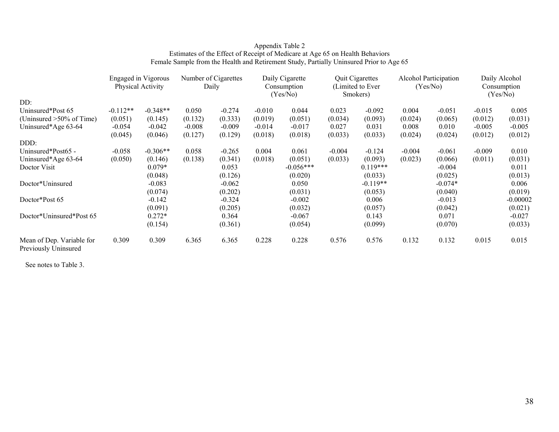#### Appendix Table 2 Estimates of the Effect of Receipt of Medicare at Age 65 on Health Behaviors Female Sample from the Health and Retirement Study, Partially Uninsured Prior to Age 65

|                                                   | Engaged in Vigorous<br>Physical Activity |            | Number of Cigarettes<br>Daily |          |          | Daily Cigarette<br>Consumption<br>(Yes/No) |          | <b>Quit Cigarettes</b><br>(Limited to Ever)<br>Smokers) |          | <b>Alcohol Participation</b><br>(Yes/No) |          | Daily Alcohol<br>Consumption<br>(Yes/No) |  |
|---------------------------------------------------|------------------------------------------|------------|-------------------------------|----------|----------|--------------------------------------------|----------|---------------------------------------------------------|----------|------------------------------------------|----------|------------------------------------------|--|
| DD:                                               |                                          |            |                               |          |          |                                            |          |                                                         |          |                                          |          |                                          |  |
| Uninsured*Post 65                                 | $-0.112**$                               | $-0.348**$ | 0.050                         | $-0.274$ | $-0.010$ | 0.044                                      | 0.023    | $-0.092$                                                | 0.004    | $-0.051$                                 | $-0.015$ | 0.005                                    |  |
| (Uninsured $>50\%$ of Time)                       | (0.051)                                  | (0.145)    | (0.132)                       | (0.333)  | (0.019)  | (0.051)                                    | (0.034)  | (0.093)                                                 | (0.024)  | (0.065)                                  | (0.012)  | (0.031)                                  |  |
| Uninsured*Age 63-64                               | $-0.054$                                 | $-0.042$   | $-0.008$                      | $-0.009$ | $-0.014$ | $-0.017$                                   | 0.027    | 0.031                                                   | 0.008    | 0.010                                    | $-0.005$ | $-0.005$                                 |  |
|                                                   | (0.045)                                  | (0.046)    | (0.127)                       | (0.129)  | (0.018)  | (0.018)                                    | (0.033)  | (0.033)                                                 | (0.024)  | (0.024)                                  | (0.012)  | (0.012)                                  |  |
| DDD:                                              |                                          |            |                               |          |          |                                            |          |                                                         |          |                                          |          |                                          |  |
| Uninsured*Post65 -                                | $-0.058$                                 | $-0.306**$ | 0.058                         | $-0.265$ | 0.004    | 0.061                                      | $-0.004$ | $-0.124$                                                | $-0.004$ | $-0.061$                                 | $-0.009$ | 0.010                                    |  |
| Uninsured*Age 63-64                               | (0.050)                                  | (0.146)    | (0.138)                       | (0.341)  | (0.018)  | (0.051)                                    | (0.033)  | (0.093)                                                 | (0.023)  | (0.066)                                  | (0.011)  | (0.031)                                  |  |
| Doctor Visit                                      |                                          | $0.079*$   |                               | 0.053    |          | $-0.056***$                                |          | $0.119***$                                              |          | $-0.004$                                 |          | 0.011                                    |  |
|                                                   |                                          | (0.048)    |                               | (0.126)  |          | (0.020)                                    |          | (0.033)                                                 |          | (0.025)                                  |          | (0.013)                                  |  |
| Doctor*Uninsured                                  |                                          | $-0.083$   |                               | $-0.062$ |          | 0.050                                      |          | $-0.119**$                                              |          | $-0.074*$                                |          | 0.006                                    |  |
|                                                   |                                          | (0.074)    |                               | (0.202)  |          | (0.031)                                    |          | (0.053)                                                 |          | (0.040)                                  |          | (0.019)                                  |  |
| Doctor*Post 65                                    |                                          | $-0.142$   |                               | $-0.324$ |          | $-0.002$                                   |          | 0.006                                                   |          | $-0.013$                                 |          | $-0.00002$                               |  |
|                                                   |                                          | (0.091)    |                               | (0.205)  |          | (0.032)                                    |          | (0.057)                                                 |          | (0.042)                                  |          | (0.021)                                  |  |
| Doctor*Uninsured*Post 65                          |                                          | $0.272*$   |                               | 0.364    |          | $-0.067$                                   |          | 0.143                                                   |          | 0.071                                    |          | $-0.027$                                 |  |
|                                                   |                                          | (0.154)    |                               | (0.361)  |          | (0.054)                                    |          | (0.099)                                                 |          | (0.070)                                  |          | (0.033)                                  |  |
| Mean of Dep. Variable for<br>Previously Uninsured | 0.309                                    | 0.309      | 6.365                         | 6.365    | 0.228    | 0.228                                      | 0.576    | 0.576                                                   | 0.132    | 0.132                                    | 0.015    | 0.015                                    |  |

See notes to Table 3.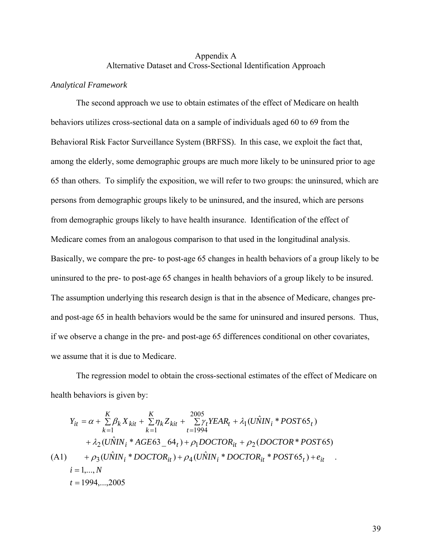# Appendix A Alternative Dataset and Cross-Sectional Identification Approach

# *Analytical Framework*

The second approach we use to obtain estimates of the effect of Medicare on health behaviors utilizes cross-sectional data on a sample of individuals aged 60 to 69 from the Behavioral Risk Factor Surveillance System (BRFSS). In this case, we exploit the fact that, among the elderly, some demographic groups are much more likely to be uninsured prior to age 65 than others. To simplify the exposition, we will refer to two groups: the uninsured, which are persons from demographic groups likely to be uninsured, and the insured, which are persons from demographic groups likely to have health insurance. Identification of the effect of Medicare comes from an analogous comparison to that used in the longitudinal analysis. Basically, we compare the pre- to post-age 65 changes in health behaviors of a group likely to be uninsured to the pre- to post-age 65 changes in health behaviors of a group likely to be insured. The assumption underlying this research design is that in the absence of Medicare, changes preand post-age 65 in health behaviors would be the same for uninsured and insured persons. Thus, if we observe a change in the pre- and post-age 65 differences conditional on other covariates, we assume that it is due to Medicare.

The regression model to obtain the cross-sectional estimates of the effect of Medicare on health behaviors is given by:

$$
Y_{it} = \alpha + \sum_{k=1}^{K} \beta_k X_{kit} + \sum_{k=1}^{K} \eta_k Z_{kit} + \sum_{t=1994}^{2005} \gamma_t YEAR_t + \lambda_1 (U\hat{N}IN_i * POST65_t)
$$
  
+  $\lambda_2 (U\hat{N}IN_i * AGRE63_64_t) + \rho_1 DOCTOR_{it} + \rho_2 (DOCTOR * POST65)$   
(A1)  $+ \rho_3 (U\hat{N}IN_i * DOCTOR_{it}) + \rho_4 (U\hat{N}IN_i * DOCTOR_{it} * POST65_t) + e_{it}$   
 $i = 1,..., N$   
 $t = 1994,...,2005$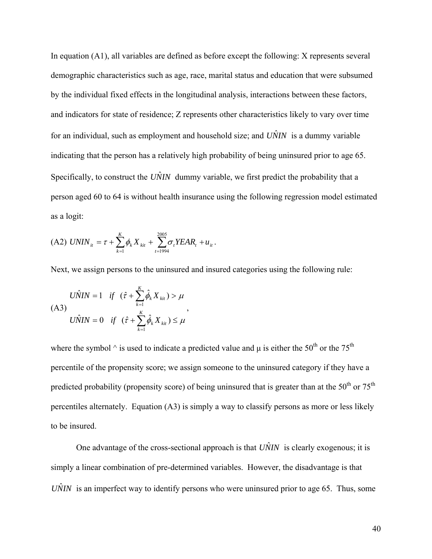In equation (A1), all variables are defined as before except the following: X represents several demographic characteristics such as age, race, marital status and education that were subsumed by the individual fixed effects in the longitudinal analysis, interactions between these factors, and indicators for state of residence; Z represents other characteristics likely to vary over time for an individual, such as employment and household size; and  $\hat{UNIN}$  is a dummy variable indicating that the person has a relatively high probability of being uninsured prior to age 65. Specifically, to construct the  $U\hat{N}IN$  dummy variable, we first predict the probability that a person aged 60 to 64 is without health insurance using the following regression model estimated as a logit:

(A2) 
$$
UNIN_{it} = \tau + \sum_{k=1}^{K} \phi_k X_{kit} + \sum_{t=1994}^{2005} \sigma_t YEAR_t + u_{it}.
$$

Next, we assign persons to the uninsured and insured categories using the following rule:

$$
\begin{aligned}\nU\hat{N}IN &= 1 & \text{if } (\hat{\tau} + \sum_{k=1}^{K} \hat{\phi}_k X_{ki}) > \mu \\
U\hat{N}IN &= 0 & \text{if } (\hat{\tau} + \sum_{k=1}^{K} \hat{\phi}_k X_{ki}) \leq \mu\n\end{aligned}
$$

where the symbol  $\wedge$  is used to indicate a predicted value and  $\mu$  is either the 50<sup>th</sup> or the 75<sup>th</sup> percentile of the propensity score; we assign someone to the uninsured category if they have a predicted probability (propensity score) of being uninsured that is greater than at the  $50<sup>th</sup>$  or  $75<sup>th</sup>$ percentiles alternately. Equation (A3) is simply a way to classify persons as more or less likely to be insured.

One advantage of the cross-sectional approach is that  $U\hat{N}I\hat{N}$  is clearly exogenous; it is simply a linear combination of pre-determined variables. However, the disadvantage is that  $U\hat{N}IN$  is an imperfect way to identify persons who were uninsured prior to age 65. Thus, some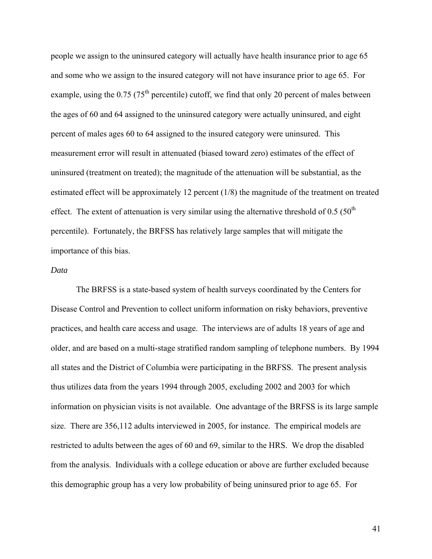people we assign to the uninsured category will actually have health insurance prior to age 65 and some who we assign to the insured category will not have insurance prior to age 65. For example, using the  $0.75$  (75<sup>th</sup> percentile) cutoff, we find that only 20 percent of males between the ages of 60 and 64 assigned to the uninsured category were actually uninsured, and eight percent of males ages 60 to 64 assigned to the insured category were uninsured. This measurement error will result in attenuated (biased toward zero) estimates of the effect of uninsured (treatment on treated); the magnitude of the attenuation will be substantial, as the estimated effect will be approximately 12 percent (1/8) the magnitude of the treatment on treated effect. The extent of attenuation is very similar using the alternative threshold of  $0.5$  ( $50<sup>th</sup>$ percentile). Fortunately, the BRFSS has relatively large samples that will mitigate the importance of this bias.

# *Data*

The BRFSS is a state-based system of health surveys coordinated by the Centers for Disease Control and Prevention to collect uniform information on risky behaviors, preventive practices, and health care access and usage. The interviews are of adults 18 years of age and older, and are based on a multi-stage stratified random sampling of telephone numbers. By 1994 all states and the District of Columbia were participating in the BRFSS. The present analysis thus utilizes data from the years 1994 through 2005, excluding 2002 and 2003 for which information on physician visits is not available. One advantage of the BRFSS is its large sample size. There are 356,112 adults interviewed in 2005, for instance. The empirical models are restricted to adults between the ages of 60 and 69, similar to the HRS. We drop the disabled from the analysis. Individuals with a college education or above are further excluded because this demographic group has a very low probability of being uninsured prior to age 65. For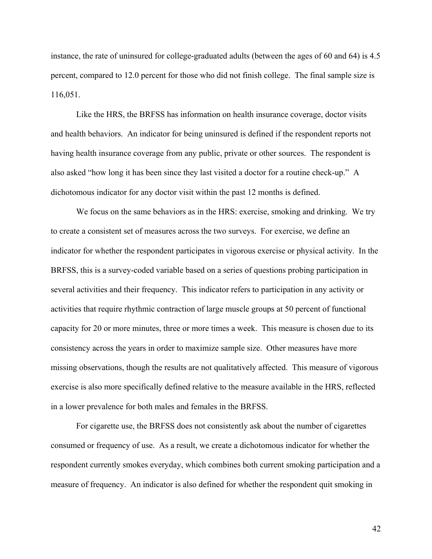instance, the rate of uninsured for college-graduated adults (between the ages of 60 and 64) is 4.5 percent, compared to 12.0 percent for those who did not finish college. The final sample size is 116,051.

 Like the HRS, the BRFSS has information on health insurance coverage, doctor visits and health behaviors. An indicator for being uninsured is defined if the respondent reports not having health insurance coverage from any public, private or other sources. The respondent is also asked "how long it has been since they last visited a doctor for a routine check-up." A dichotomous indicator for any doctor visit within the past 12 months is defined.

We focus on the same behaviors as in the HRS: exercise, smoking and drinking. We try to create a consistent set of measures across the two surveys. For exercise, we define an indicator for whether the respondent participates in vigorous exercise or physical activity. In the BRFSS, this is a survey-coded variable based on a series of questions probing participation in several activities and their frequency. This indicator refers to participation in any activity or activities that require rhythmic contraction of large muscle groups at 50 percent of functional capacity for 20 or more minutes, three or more times a week. This measure is chosen due to its consistency across the years in order to maximize sample size. Other measures have more missing observations, though the results are not qualitatively affected. This measure of vigorous exercise is also more specifically defined relative to the measure available in the HRS, reflected in a lower prevalence for both males and females in the BRFSS.

 For cigarette use, the BRFSS does not consistently ask about the number of cigarettes consumed or frequency of use. As a result, we create a dichotomous indicator for whether the respondent currently smokes everyday, which combines both current smoking participation and a measure of frequency. An indicator is also defined for whether the respondent quit smoking in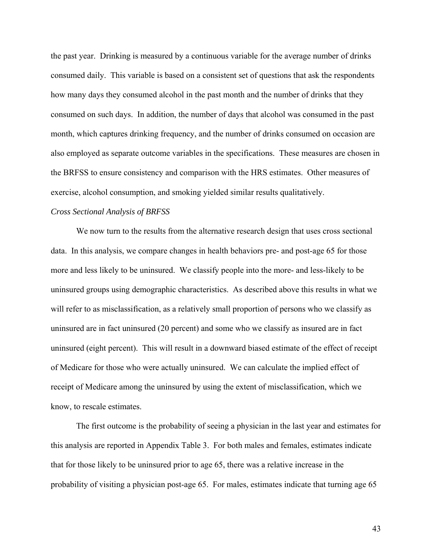the past year. Drinking is measured by a continuous variable for the average number of drinks consumed daily. This variable is based on a consistent set of questions that ask the respondents how many days they consumed alcohol in the past month and the number of drinks that they consumed on such days. In addition, the number of days that alcohol was consumed in the past month, which captures drinking frequency, and the number of drinks consumed on occasion are also employed as separate outcome variables in the specifications. These measures are chosen in the BRFSS to ensure consistency and comparison with the HRS estimates. Other measures of exercise, alcohol consumption, and smoking yielded similar results qualitatively.

# *Cross Sectional Analysis of BRFSS*

 We now turn to the results from the alternative research design that uses cross sectional data. In this analysis, we compare changes in health behaviors pre- and post-age 65 for those more and less likely to be uninsured. We classify people into the more- and less-likely to be uninsured groups using demographic characteristics. As described above this results in what we will refer to as misclassification, as a relatively small proportion of persons who we classify as uninsured are in fact uninsured (20 percent) and some who we classify as insured are in fact uninsured (eight percent). This will result in a downward biased estimate of the effect of receipt of Medicare for those who were actually uninsured. We can calculate the implied effect of receipt of Medicare among the uninsured by using the extent of misclassification, which we know, to rescale estimates.

 The first outcome is the probability of seeing a physician in the last year and estimates for this analysis are reported in Appendix Table 3. For both males and females, estimates indicate that for those likely to be uninsured prior to age 65, there was a relative increase in the probability of visiting a physician post-age 65. For males, estimates indicate that turning age 65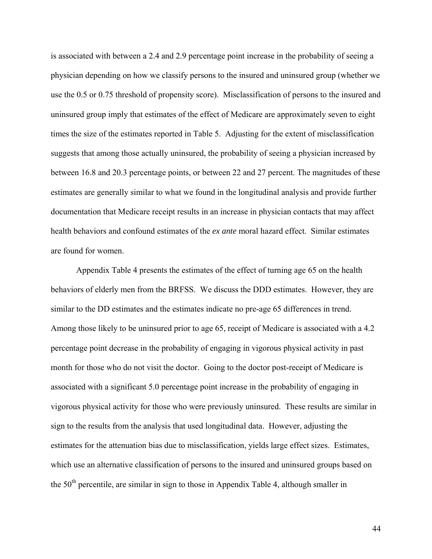is associated with between a 2.4 and 2.9 percentage point increase in the probability of seeing a physician depending on how we classify persons to the insured and uninsured group (whether we use the 0.5 or 0.75 threshold of propensity score). Misclassification of persons to the insured and uninsured group imply that estimates of the effect of Medicare are approximately seven to eight times the size of the estimates reported in Table 5. Adjusting for the extent of misclassification suggests that among those actually uninsured, the probability of seeing a physician increased by between 16.8 and 20.3 percentage points, or between 22 and 27 percent. The magnitudes of these estimates are generally similar to what we found in the longitudinal analysis and provide further documentation that Medicare receipt results in an increase in physician contacts that may affect health behaviors and confound estimates of the *ex ante* moral hazard effect. Similar estimates are found for women.

 Appendix Table 4 presents the estimates of the effect of turning age 65 on the health behaviors of elderly men from the BRFSS. We discuss the DDD estimates. However, they are similar to the DD estimates and the estimates indicate no pre-age 65 differences in trend. Among those likely to be uninsured prior to age 65, receipt of Medicare is associated with a 4.2 percentage point decrease in the probability of engaging in vigorous physical activity in past month for those who do not visit the doctor. Going to the doctor post-receipt of Medicare is associated with a significant 5.0 percentage point increase in the probability of engaging in vigorous physical activity for those who were previously uninsured. These results are similar in sign to the results from the analysis that used longitudinal data. However, adjusting the estimates for the attenuation bias due to misclassification, yields large effect sizes. Estimates, which use an alternative classification of persons to the insured and uninsured groups based on the  $50<sup>th</sup>$  percentile, are similar in sign to those in Appendix Table 4, although smaller in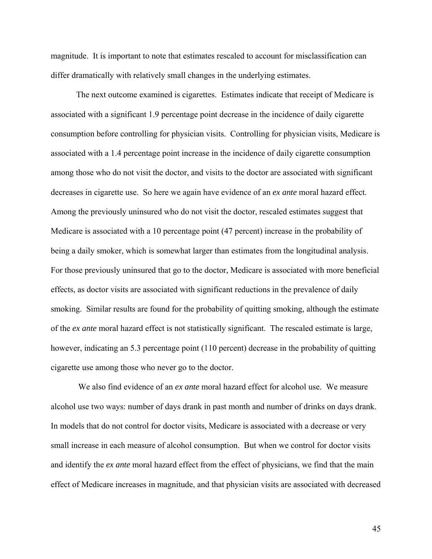magnitude. It is important to note that estimates rescaled to account for misclassification can differ dramatically with relatively small changes in the underlying estimates.

The next outcome examined is cigarettes. Estimates indicate that receipt of Medicare is associated with a significant 1.9 percentage point decrease in the incidence of daily cigarette consumption before controlling for physician visits. Controlling for physician visits, Medicare is associated with a 1.4 percentage point increase in the incidence of daily cigarette consumption among those who do not visit the doctor, and visits to the doctor are associated with significant decreases in cigarette use. So here we again have evidence of an *ex ante* moral hazard effect. Among the previously uninsured who do not visit the doctor, rescaled estimates suggest that Medicare is associated with a 10 percentage point (47 percent) increase in the probability of being a daily smoker, which is somewhat larger than estimates from the longitudinal analysis. For those previously uninsured that go to the doctor, Medicare is associated with more beneficial effects, as doctor visits are associated with significant reductions in the prevalence of daily smoking. Similar results are found for the probability of quitting smoking, although the estimate of the *ex ante* moral hazard effect is not statistically significant. The rescaled estimate is large, however, indicating an 5.3 percentage point (110 percent) decrease in the probability of quitting cigarette use among those who never go to the doctor.

 We also find evidence of an *ex ante* moral hazard effect for alcohol use. We measure alcohol use two ways: number of days drank in past month and number of drinks on days drank. In models that do not control for doctor visits, Medicare is associated with a decrease or very small increase in each measure of alcohol consumption. But when we control for doctor visits and identify the *ex ante* moral hazard effect from the effect of physicians, we find that the main effect of Medicare increases in magnitude, and that physician visits are associated with decreased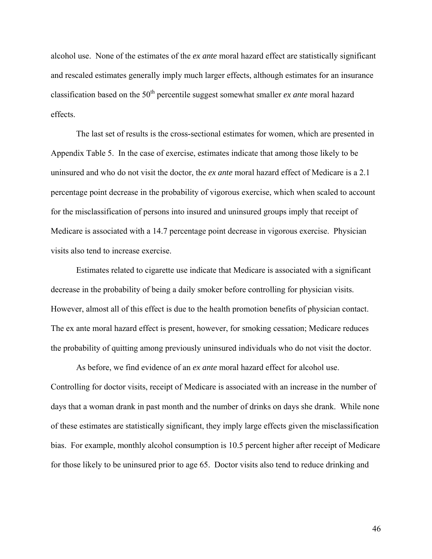alcohol use. None of the estimates of the *ex ante* moral hazard effect are statistically significant and rescaled estimates generally imply much larger effects, although estimates for an insurance classification based on the 50<sup>th</sup> percentile suggest somewhat smaller *ex ante* moral hazard effects.

The last set of results is the cross-sectional estimates for women, which are presented in Appendix Table 5. In the case of exercise, estimates indicate that among those likely to be uninsured and who do not visit the doctor, the *ex ante* moral hazard effect of Medicare is a 2.1 percentage point decrease in the probability of vigorous exercise, which when scaled to account for the misclassification of persons into insured and uninsured groups imply that receipt of Medicare is associated with a 14.7 percentage point decrease in vigorous exercise. Physician visits also tend to increase exercise.

Estimates related to cigarette use indicate that Medicare is associated with a significant decrease in the probability of being a daily smoker before controlling for physician visits. However, almost all of this effect is due to the health promotion benefits of physician contact. The ex ante moral hazard effect is present, however, for smoking cessation; Medicare reduces the probability of quitting among previously uninsured individuals who do not visit the doctor.

As before, we find evidence of an *ex ante* moral hazard effect for alcohol use. Controlling for doctor visits, receipt of Medicare is associated with an increase in the number of days that a woman drank in past month and the number of drinks on days she drank. While none of these estimates are statistically significant, they imply large effects given the misclassification bias. For example, monthly alcohol consumption is 10.5 percent higher after receipt of Medicare for those likely to be uninsured prior to age 65. Doctor visits also tend to reduce drinking and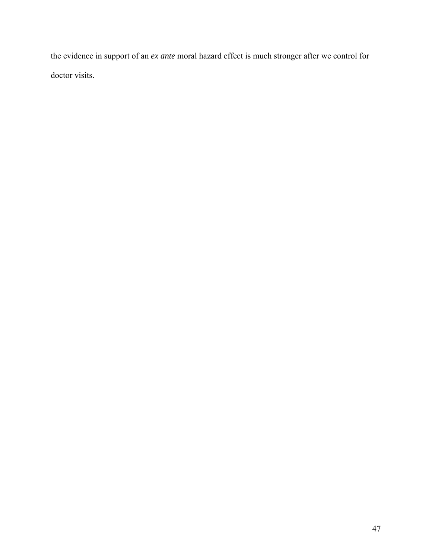the evidence in support of an *ex ante* moral hazard effect is much stronger after we control for doctor visits.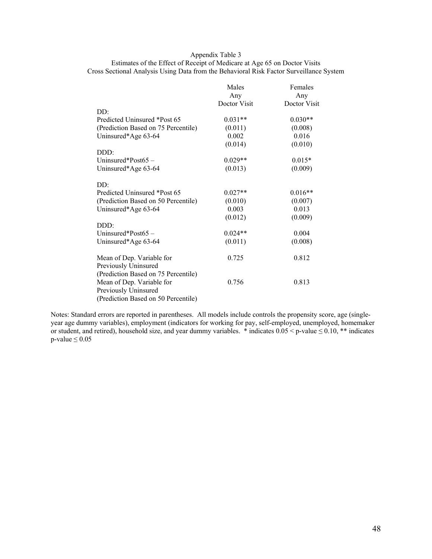### Appendix Table 3

Estimates of the Effect of Receipt of Medicare at Age 65 on Doctor Visits Cross Sectional Analysis Using Data from the Behavioral Risk Factor Surveillance System

|                                     | Males        | Females      |
|-------------------------------------|--------------|--------------|
|                                     | Any          | Any          |
|                                     | Doctor Visit | Doctor Visit |
| DD:                                 |              |              |
| Predicted Uninsured *Post 65        | $0.031**$    | $0.030**$    |
| (Prediction Based on 75 Percentile) | (0.011)      | (0.008)      |
| Uninsured*Age 63-64                 | 0.002        | 0.016        |
|                                     | (0.014)      | (0.010)      |
| DDD:                                |              |              |
| Uninsured*Post $65 -$               | $0.029**$    | $0.015*$     |
| Uninsured*Age 63-64                 | (0.013)      | (0.009)      |
| DD:                                 |              |              |
| Predicted Uninsured *Post 65        | $0.027**$    | $0.016**$    |
| (Prediction Based on 50 Percentile) | (0.010)      | (0.007)      |
| Uninsured*Age 63-64                 | 0.003        | 0.013        |
|                                     | (0.012)      | (0.009)      |
| DDD:                                |              |              |
| Uninsured*Post65-                   | $0.024**$    | 0.004        |
| Uninsured*Age 63-64                 | (0.011)      | (0.008)      |
| Mean of Dep. Variable for           | 0.725        | 0.812        |
| Previously Uninsured                |              |              |
| (Prediction Based on 75 Percentile) |              |              |
| Mean of Dep. Variable for           | 0.756        | 0.813        |
| Previously Uninsured                |              |              |
| (Prediction Based on 50 Percentile) |              |              |

Notes: Standard errors are reported in parentheses. All models include controls the propensity score, age (singleyear age dummy variables), employment (indicators for working for pay, self-employed, unemployed, homemaker or student, and retired), household size, and year dummy variables. \* indicates  $0.05 < p$ -value  $\le 0.10$ , \*\* indicates  $p$ -value  $\leq 0.05$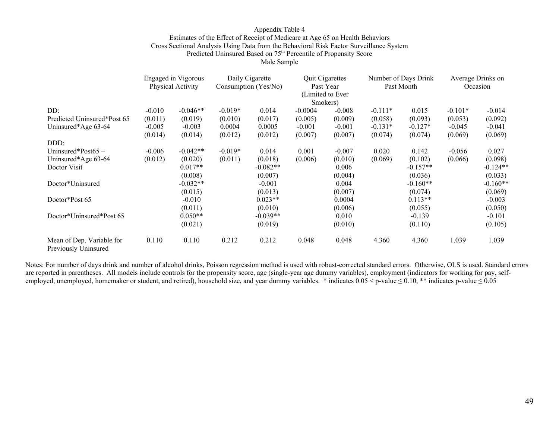### Appendix Table 4 Estimates of the Effect of Receipt of Medicare at Age 65 on Health Behaviors Cross Sectional Analysis Using Data from the Behavioral Risk Factor Surveillance System Predicted Uninsured Based on 75<sup>th</sup> Percentile of Propensity Score

Male Sample

|                                                   | <b>Engaged</b> in Vigorous<br>Physical Activity |            | Daily Cigarette<br>Consumption (Yes/No) |            | <b>Quit Cigarettes</b><br>Past Year<br>(Limited to Ever<br>Smokers) |          | Number of Days Drink<br>Past Month |            | Average Drinks on<br>Occasion |            |
|---------------------------------------------------|-------------------------------------------------|------------|-----------------------------------------|------------|---------------------------------------------------------------------|----------|------------------------------------|------------|-------------------------------|------------|
| DD:                                               | $-0.010$                                        | $-0.046**$ | $-0.019*$                               | 0.014      | $-0.0004$                                                           | $-0.008$ | $-0.111*$                          | 0.015      | $-0.101*$                     | $-0.014$   |
| Predicted Uninsured*Post 65                       | (0.011)                                         | (0.019)    | (0.010)                                 | (0.017)    | (0.005)                                                             | (0.009)  | (0.058)                            | (0.093)    | (0.053)                       | (0.092)    |
| Uninsured*Age 63-64                               | $-0.005$                                        | $-0.003$   | 0.0004                                  | 0.0005     | $-0.001$                                                            | $-0.001$ | $-0.131*$                          | $-0.127*$  | $-0.045$                      | $-0.041$   |
|                                                   | (0.014)                                         | (0.014)    | (0.012)                                 | (0.012)    | (0.007)                                                             | (0.007)  | (0.074)                            | (0.074)    | (0.069)                       | (0.069)    |
| DDD:                                              |                                                 |            |                                         |            |                                                                     |          |                                    |            |                               |            |
| Uninsured*Post $65 -$                             | $-0.006$                                        | $-0.042**$ | $-0.019*$                               | 0.014      | 0.001                                                               | $-0.007$ | 0.020                              | 0.142      | $-0.056$                      | 0.027      |
| Uninsured*Age 63-64                               | (0.012)                                         | (0.020)    | (0.011)                                 | (0.018)    | (0.006)                                                             | (0.010)  | (0.069)                            | (0.102)    | (0.066)                       | (0.098)    |
| Doctor Visit                                      |                                                 | $0.017**$  |                                         | $-0.082**$ |                                                                     | 0.006    |                                    | $-0.157**$ |                               | $-0.124**$ |
|                                                   |                                                 | (0.008)    |                                         | (0.007)    |                                                                     | (0.004)  |                                    | (0.036)    |                               | (0.033)    |
| Doctor*Uninsured                                  |                                                 | $-0.032**$ |                                         | $-0.001$   |                                                                     | 0.004    |                                    | $-0.160**$ |                               | $-0.160**$ |
|                                                   |                                                 | (0.015)    |                                         | (0.013)    |                                                                     | (0.007)  |                                    | (0.074)    |                               | (0.069)    |
| Doctor*Post 65                                    |                                                 | $-0.010$   |                                         | $0.023**$  |                                                                     | 0.0004   |                                    | $0.113**$  |                               | $-0.003$   |
|                                                   |                                                 | (0.011)    |                                         | (0.010)    |                                                                     | (0.006)  |                                    | (0.055)    |                               | (0.050)    |
| Doctor*Uninsured*Post 65                          |                                                 | $0.050**$  |                                         | $-0.039**$ |                                                                     | 0.010    |                                    | $-0.139$   |                               | $-0.101$   |
|                                                   |                                                 | (0.021)    |                                         | (0.019)    |                                                                     | (0.010)  |                                    | (0.110)    |                               | (0.105)    |
| Mean of Dep. Variable for<br>Previously Uninsured | 0.110                                           | 0.110      | 0.212                                   | 0.212      | 0.048                                                               | 0.048    | 4.360                              | 4.360      | 1.039                         | 1.039      |

Notes: For number of days drink and number of alcohol drinks, Poisson regression method is used with robust-corrected standard errors. Otherwise, OLS is used. Standard errors are reported in parentheses. All models include controls for the propensity score, age (single-year age dummy variables), employment (indicators for working for pay, selfemployed, unemployed, homemaker or student, and retired), household size, and year dummy variables. \* indicates  $0.05 < p$ -value  $\le 0.10$ , \*\* indicates p-value  $\le 0.05$